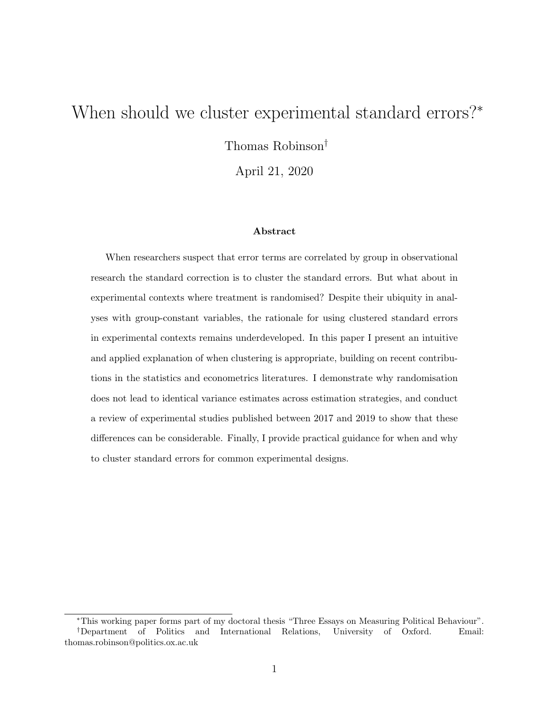## <span id="page-0-0"></span>When should we cluster experimental standard errors?<sup>∗</sup>

Thomas Robinson†

April 21, 2020

#### Abstract

When researchers suspect that error terms are correlated by group in observational research the standard correction is to cluster the standard errors. But what about in experimental contexts where treatment is randomised? Despite their ubiquity in analyses with group-constant variables, the rationale for using clustered standard errors in experimental contexts remains underdeveloped. In this paper I present an intuitive and applied explanation of when clustering is appropriate, building on recent contributions in the statistics and econometrics literatures. I demonstrate why randomisation does not lead to identical variance estimates across estimation strategies, and conduct a review of experimental studies published between 2017 and 2019 to show that these differences can be considerable. Finally, I provide practical guidance for when and why to cluster standard errors for common experimental designs.

<sup>∗</sup>This working paper forms part of my doctoral thesis "Three Essays on Measuring Political Behaviour". †Department of Politics and International Relations, University of Oxford. Email: thomas.robinson@politics.ox.ac.uk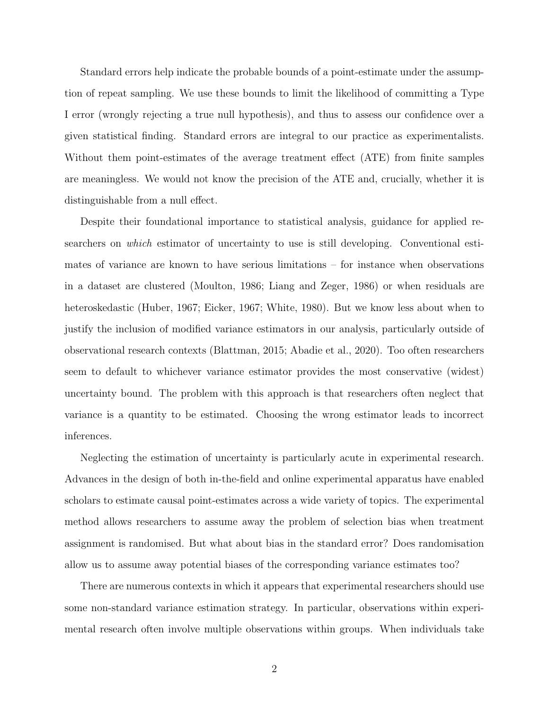Standard errors help indicate the probable bounds of a point-estimate under the assumption of repeat sampling. We use these bounds to limit the likelihood of committing a Type I error (wrongly rejecting a true null hypothesis), and thus to assess our confidence over a given statistical finding. Standard errors are integral to our practice as experimentalists. Without them point-estimates of the average treatment effect (ATE) from finite samples are meaningless. We would not know the precision of the ATE and, crucially, whether it is distinguishable from a null effect.

Despite their foundational importance to statistical analysis, guidance for applied researchers on which estimator of uncertainty to use is still developing. Conventional estimates of variance are known to have serious limitations – for instance when observations in a dataset are clustered [\(Moulton, 1986;](#page-45-0) [Liang and Zeger, 1986\)](#page-45-1) or when residuals are heteroskedastic [\(Huber, 1967;](#page-44-0) [Eicker, 1967;](#page-43-0) [White, 1980\)](#page-46-0). But we know less about when to justify the inclusion of modified variance estimators in our analysis, particularly outside of observational research contexts [\(Blattman, 2015;](#page-41-0) [Abadie et al., 2020\)](#page-41-1). Too often researchers seem to default to whichever variance estimator provides the most conservative (widest) uncertainty bound. The problem with this approach is that researchers often neglect that variance is a quantity to be estimated. Choosing the wrong estimator leads to incorrect inferences.

Neglecting the estimation of uncertainty is particularly acute in experimental research. Advances in the design of both in-the-field and online experimental apparatus have enabled scholars to estimate causal point-estimates across a wide variety of topics. The experimental method allows researchers to assume away the problem of selection bias when treatment assignment is randomised. But what about bias in the standard error? Does randomisation allow us to assume away potential biases of the corresponding variance estimates too?

There are numerous contexts in which it appears that experimental researchers should use some non-standard variance estimation strategy. In particular, observations within experimental research often involve multiple observations within groups. When individuals take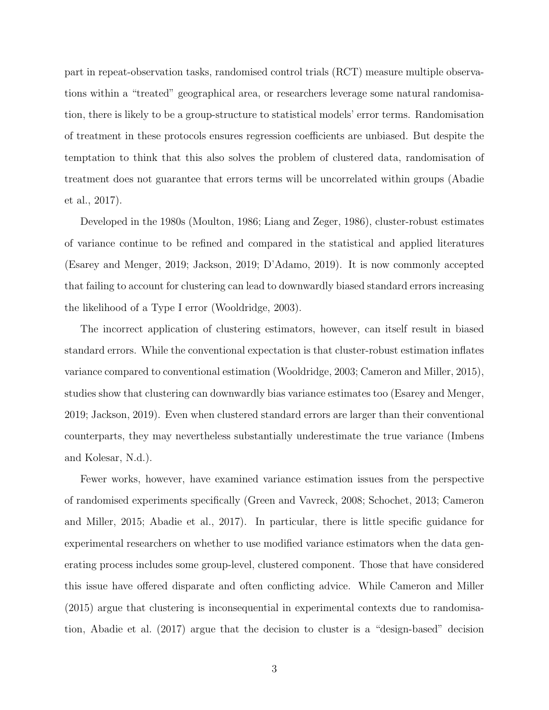part in repeat-observation tasks, randomised control trials (RCT) measure multiple observations within a "treated" geographical area, or researchers leverage some natural randomisation, there is likely to be a group-structure to statistical models' error terms. Randomisation of treatment in these protocols ensures regression coefficients are unbiased. But despite the temptation to think that this also solves the problem of clustered data, randomisation of treatment does not guarantee that errors terms will be uncorrelated within groups [\(Abadie](#page-41-2) [et al., 2017\)](#page-41-2).

Developed in the 1980s [\(Moulton, 1986;](#page-45-0) [Liang and Zeger, 1986\)](#page-45-1), cluster-robust estimates of variance continue to be refined and compared in the statistical and applied literatures [\(Esarey and Menger, 2019;](#page-43-1) [Jackson, 2019;](#page-44-1) [D'Adamo, 2019\)](#page-42-0). It is now commonly accepted that failing to account for clustering can lead to downwardly biased standard errors increasing the likelihood of a Type I error [\(Wooldridge, 2003\)](#page-46-1).

The incorrect application of clustering estimators, however, can itself result in biased standard errors. While the conventional expectation is that cluster-robust estimation inflates variance compared to conventional estimation [\(Wooldridge, 2003;](#page-46-1) [Cameron and Miller, 2015\)](#page-42-1), studies show that clustering can downwardly bias variance estimates too [\(Esarey and Menger,](#page-43-1) [2019;](#page-43-1) [Jackson, 2019\)](#page-44-1). Even when clustered standard errors are larger than their conventional counterparts, they may nevertheless substantially underestimate the true variance [\(Imbens](#page-44-2) [and Kolesar, N.d.\)](#page-44-2).

Fewer works, however, have examined variance estimation issues from the perspective of randomised experiments specifically [\(Green and Vavreck, 2008;](#page-43-2) [Schochet, 2013;](#page-46-2) [Cameron](#page-42-1) [and Miller, 2015;](#page-42-1) [Abadie et al., 2017\)](#page-41-2). In particular, there is little specific guidance for experimental researchers on whether to use modified variance estimators when the data generating process includes some group-level, clustered component. Those that have considered this issue have offered disparate and often conflicting advice. While [Cameron and Miller](#page-42-1) [\(2015\)](#page-42-1) argue that clustering is inconsequential in experimental contexts due to randomisation, [Abadie et al.](#page-41-2) [\(2017\)](#page-41-2) argue that the decision to cluster is a "design-based" decision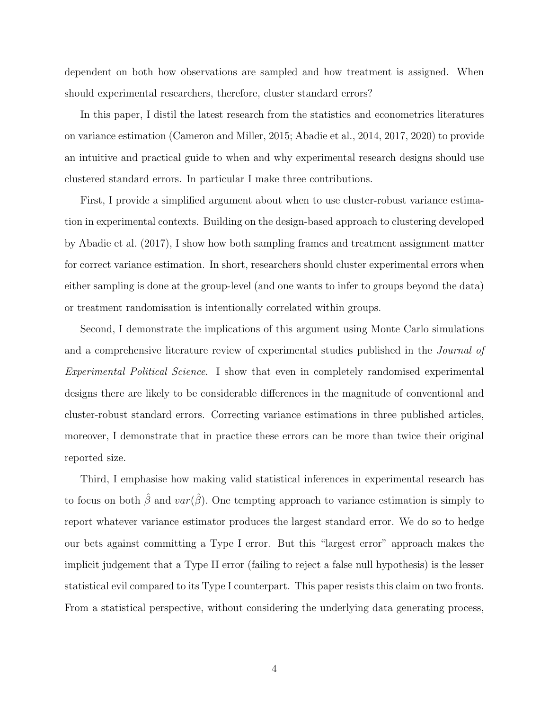dependent on both how observations are sampled and how treatment is assigned. When should experimental researchers, therefore, cluster standard errors?

In this paper, I distil the latest research from the statistics and econometrics literatures on variance estimation [\(Cameron and Miller, 2015;](#page-42-1) [Abadie et al., 2014,](#page-41-3) [2017,](#page-41-2) [2020\)](#page-41-1) to provide an intuitive and practical guide to when and why experimental research designs should use clustered standard errors. In particular I make three contributions.

First, I provide a simplified argument about when to use cluster-robust variance estimation in experimental contexts. Building on the design-based approach to clustering developed by [Abadie et al.](#page-41-2) [\(2017\)](#page-41-2), I show how both sampling frames and treatment assignment matter for correct variance estimation. In short, researchers should cluster experimental errors when either sampling is done at the group-level (and one wants to infer to groups beyond the data) or treatment randomisation is intentionally correlated within groups.

Second, I demonstrate the implications of this argument using Monte Carlo simulations and a comprehensive literature review of experimental studies published in the Journal of Experimental Political Science. I show that even in completely randomised experimental designs there are likely to be considerable differences in the magnitude of conventional and cluster-robust standard errors. Correcting variance estimations in three published articles, moreover, I demonstrate that in practice these errors can be more than twice their original reported size.

Third, I emphasise how making valid statistical inferences in experimental research has to focus on both  $\hat{\beta}$  and  $var(\hat{\beta})$ . One tempting approach to variance estimation is simply to report whatever variance estimator produces the largest standard error. We do so to hedge our bets against committing a Type I error. But this "largest error" approach makes the implicit judgement that a Type II error (failing to reject a false null hypothesis) is the lesser statistical evil compared to its Type I counterpart. This paper resists this claim on two fronts. From a statistical perspective, without considering the underlying data generating process,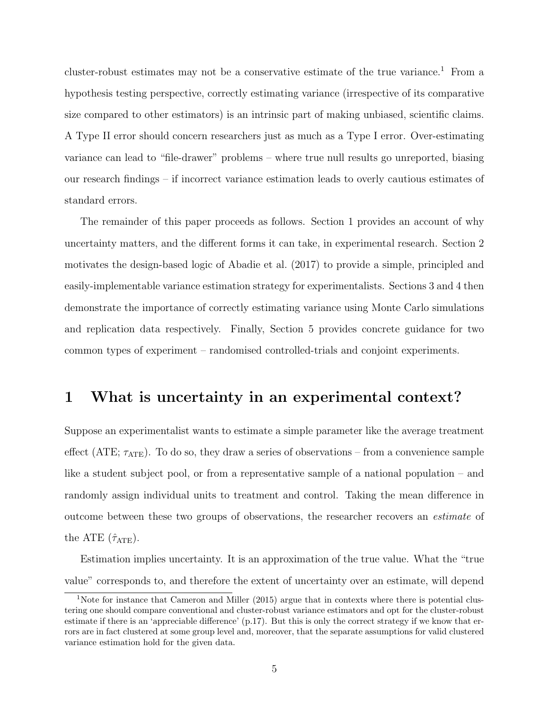cluster-robust estimates may not be a conservative estimate of the true variance.<sup>[1](#page-4-0)</sup> From a hypothesis testing perspective, correctly estimating variance (irrespective of its comparative size compared to other estimators) is an intrinsic part of making unbiased, scientific claims. A Type II error should concern researchers just as much as a Type I error. Over-estimating variance can lead to "file-drawer" problems – where true null results go unreported, biasing our research findings – if incorrect variance estimation leads to overly cautious estimates of standard errors.

The remainder of this paper proceeds as follows. Section [1](#page-4-1) provides an account of why uncertainty matters, and the different forms it can take, in experimental research. Section [2](#page-9-0) motivates the design-based logic of [Abadie et al.](#page-41-2) [\(2017\)](#page-41-2) to provide a simple, principled and easily-implementable variance estimation strategy for experimentalists. Sections [3](#page-19-0) and [4](#page-28-0) then demonstrate the importance of correctly estimating variance using Monte Carlo simulations and replication data respectively. Finally, Section [5](#page-37-0) provides concrete guidance for two common types of experiment – randomised controlled-trials and conjoint experiments.

### <span id="page-4-1"></span>1 What is uncertainty in an experimental context?

Suppose an experimentalist wants to estimate a simple parameter like the average treatment effect (ATE;  $\tau_{ATE}$ ). To do so, they draw a series of observations – from a convenience sample like a student subject pool, or from a representative sample of a national population – and randomly assign individual units to treatment and control. Taking the mean difference in outcome between these two groups of observations, the researcher recovers an estimate of the ATE  $(\hat{\tau}_{ATE})$ .

Estimation implies uncertainty. It is an approximation of the true value. What the "true value" corresponds to, and therefore the extent of uncertainty over an estimate, will depend

<span id="page-4-0"></span><sup>&</sup>lt;sup>1</sup>Note for instance that Cameron and Miller [\(2015\)](#page-42-1) argue that in contexts where there is potential clustering one should compare conventional and cluster-robust variance estimators and opt for the cluster-robust estimate if there is an 'appreciable difference' (p.17). But this is only the correct strategy if we know that errors are in fact clustered at some group level and, moreover, that the separate assumptions for valid clustered variance estimation hold for the given data.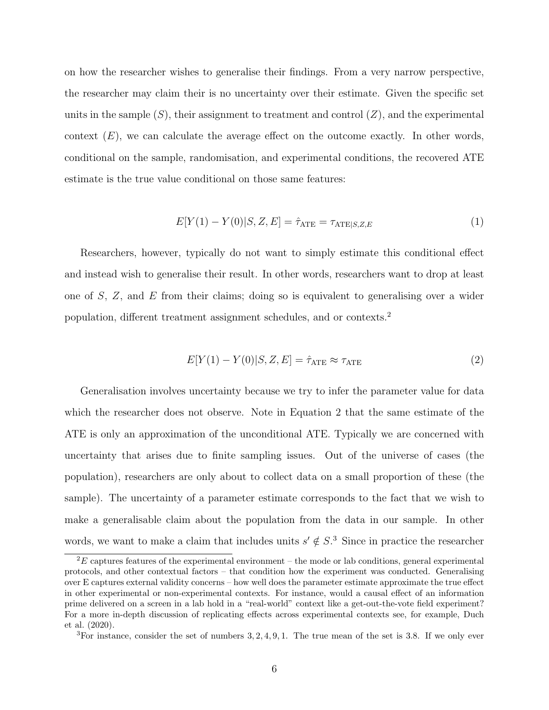on how the researcher wishes to generalise their findings. From a very narrow perspective, the researcher may claim their is no uncertainty over their estimate. Given the specific set units in the sample  $(S)$ , their assignment to treatment and control  $(Z)$ , and the experimental context  $(E)$ , we can calculate the average effect on the outcome exactly. In other words, conditional on the sample, randomisation, and experimental conditions, the recovered ATE estimate is the true value conditional on those same features:

$$
E[Y(1) - Y(0)|S, Z, E] = \hat{\tau}_{ATE} = \tau_{ATE|S, Z, E}
$$
\n(1)

Researchers, however, typically do not want to simply estimate this conditional effect and instead wish to generalise their result. In other words, researchers want to drop at least one of S, Z, and E from their claims; doing so is equivalent to generalising over a wider population, different treatment assignment schedules, and or contexts.[2](#page-5-0)

<span id="page-5-1"></span>
$$
E[Y(1) - Y(0)|S, Z, E] = \hat{\tau}_{\text{ATE}} \approx \tau_{\text{ATE}} \tag{2}
$$

Generalisation involves uncertainty because we try to infer the parameter value for data which the researcher does not observe. Note in Equation [2](#page-5-1) that the same estimate of the ATE is only an approximation of the unconditional ATE. Typically we are concerned with uncertainty that arises due to finite sampling issues. Out of the universe of cases (the population), researchers are only about to collect data on a small proportion of these (the sample). The uncertainty of a parameter estimate corresponds to the fact that we wish to make a generalisable claim about the population from the data in our sample. In other words, we want to make a claim that includes units  $s' \notin S$ <sup>[3](#page-5-2)</sup>. Since in practice the researcher

<span id="page-5-0"></span> ${}^{2}E$  captures features of the experimental environment – the mode or lab conditions, general experimental protocols, and other contextual factors – that condition how the experiment was conducted. Generalising over E captures external validity concerns – how well does the parameter estimate approximate the true effect in other experimental or non-experimental contexts. For instance, would a causal effect of an information prime delivered on a screen in a lab hold in a "real-world" context like a get-out-the-vote field experiment? For a more in-depth discussion of replicating effects across experimental contexts see, for example, [Duch](#page-43-3) [et al.](#page-43-3) [\(2020\)](#page-43-3).

<span id="page-5-2"></span> ${}^{3}$ For instance, consider the set of numbers 3, 2, 4, 9, 1. The true mean of the set is 3.8. If we only ever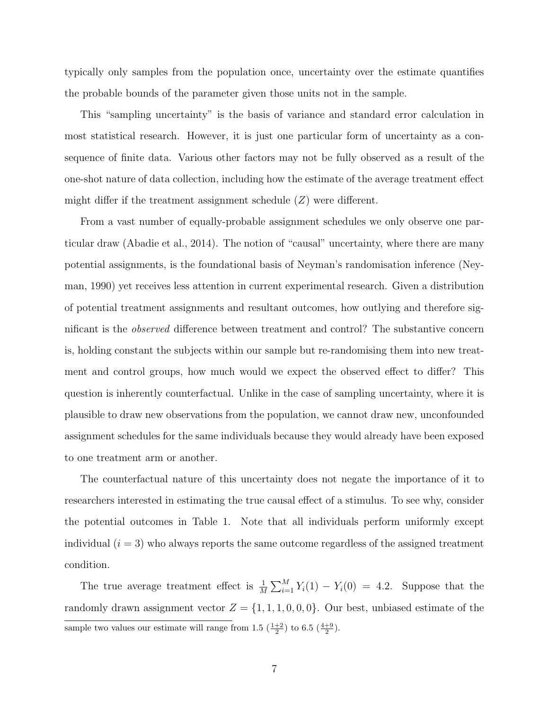typically only samples from the population once, uncertainty over the estimate quantifies the probable bounds of the parameter given those units not in the sample.

This "sampling uncertainty" is the basis of variance and standard error calculation in most statistical research. However, it is just one particular form of uncertainty as a consequence of finite data. Various other factors may not be fully observed as a result of the one-shot nature of data collection, including how the estimate of the average treatment effect might differ if the treatment assignment schedule  $(Z)$  were different.

From a vast number of equally-probable assignment schedules we only observe one particular draw [\(Abadie et al., 2014\)](#page-41-3). The notion of "causal" uncertainty, where there are many potential assignments, is the foundational basis of Neyman's randomisation inference [\(Ney](#page-45-2)[man, 1990\)](#page-45-2) yet receives less attention in current experimental research. Given a distribution of potential treatment assignments and resultant outcomes, how outlying and therefore significant is the observed difference between treatment and control? The substantive concern is, holding constant the subjects within our sample but re-randomising them into new treatment and control groups, how much would we expect the observed effect to differ? This question is inherently counterfactual. Unlike in the case of sampling uncertainty, where it is plausible to draw new observations from the population, we cannot draw new, unconfounded assignment schedules for the same individuals because they would already have been exposed to one treatment arm or another.

The counterfactual nature of this uncertainty does not negate the importance of it to researchers interested in estimating the true causal effect of a stimulus. To see why, consider the potential outcomes in Table [1.](#page-7-0) Note that all individuals perform uniformly except individual  $(i = 3)$  who always reports the same outcome regardless of the assigned treatment condition.

The true average treatment effect is  $\frac{1}{M} \sum_{i=1}^{M} Y_i(1) - Y_i(0) = 4.2$ . Suppose that the randomly drawn assignment vector  $Z = \{1, 1, 1, 0, 0, 0\}$ . Our best, unbiased estimate of the sample two values our estimate will range from 1.5  $(\frac{1+2}{2})$  to 6.5  $(\frac{4+9}{2})$ .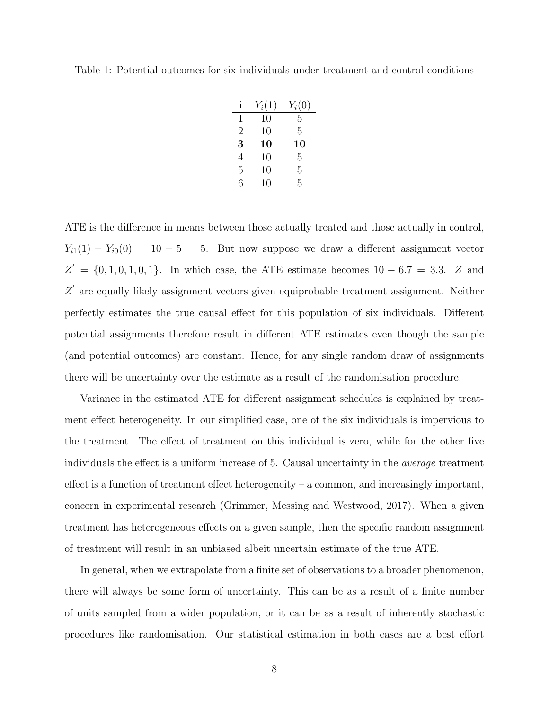<span id="page-7-0"></span>Table 1: Potential outcomes for six individuals under treatment and control conditions

| $\mathbf{i}$   | $Y_i(1)$ | $Y_i(0)$ |
|----------------|----------|----------|
| 1              | 10       | 5        |
| $\overline{2}$ | 10       | 5        |
| 3              | 10       | 10       |
| $\overline{4}$ | 10       | 5        |
| $\overline{5}$ | 10       | 5        |
| 6              | 10       | 5        |

ATE is the difference in means between those actually treated and those actually in control,  $\overline{Y_{i1}}(1) - \overline{Y_{i0}}(0) = 10 - 5 = 5$ . But now suppose we draw a different assignment vector  $Z' = \{0, 1, 0, 1, 0, 1\}$ . In which case, the ATE estimate becomes  $10 - 6.7 = 3.3$ . Z and  $Z'$  are equally likely assignment vectors given equiprobable treatment assignment. Neither perfectly estimates the true causal effect for this population of six individuals. Different potential assignments therefore result in different ATE estimates even though the sample (and potential outcomes) are constant. Hence, for any single random draw of assignments there will be uncertainty over the estimate as a result of the randomisation procedure.

Variance in the estimated ATE for different assignment schedules is explained by treatment effect heterogeneity. In our simplified case, one of the six individuals is impervious to the treatment. The effect of treatment on this individual is zero, while for the other five individuals the effect is a uniform increase of 5. Causal uncertainty in the average treatment effect is a function of treatment effect heterogeneity – a common, and increasingly important, concern in experimental research [\(Grimmer, Messing and Westwood, 2017\)](#page-43-4). When a given treatment has heterogeneous effects on a given sample, then the specific random assignment of treatment will result in an unbiased albeit uncertain estimate of the true ATE.

In general, when we extrapolate from a finite set of observations to a broader phenomenon, there will always be some form of uncertainty. This can be as a result of a finite number of units sampled from a wider population, or it can be as a result of inherently stochastic procedures like randomisation. Our statistical estimation in both cases are a best effort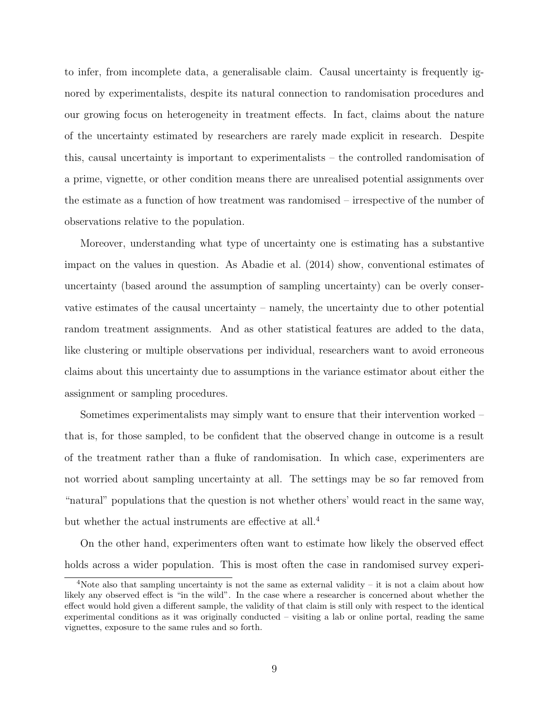to infer, from incomplete data, a generalisable claim. Causal uncertainty is frequently ignored by experimentalists, despite its natural connection to randomisation procedures and our growing focus on heterogeneity in treatment effects. In fact, claims about the nature of the uncertainty estimated by researchers are rarely made explicit in research. Despite this, causal uncertainty is important to experimentalists – the controlled randomisation of a prime, vignette, or other condition means there are unrealised potential assignments over the estimate as a function of how treatment was randomised – irrespective of the number of observations relative to the population.

Moreover, understanding what type of uncertainty one is estimating has a substantive impact on the values in question. As [Abadie et al.](#page-41-3) [\(2014\)](#page-41-3) show, conventional estimates of uncertainty (based around the assumption of sampling uncertainty) can be overly conservative estimates of the causal uncertainty – namely, the uncertainty due to other potential random treatment assignments. And as other statistical features are added to the data, like clustering or multiple observations per individual, researchers want to avoid erroneous claims about this uncertainty due to assumptions in the variance estimator about either the assignment or sampling procedures.

Sometimes experimentalists may simply want to ensure that their intervention worked – that is, for those sampled, to be confident that the observed change in outcome is a result of the treatment rather than a fluke of randomisation. In which case, experimenters are not worried about sampling uncertainty at all. The settings may be so far removed from "natural" populations that the question is not whether others' would react in the same way, but whether the actual instruments are effective at all.<sup>[4](#page-8-0)</sup>

On the other hand, experimenters often want to estimate how likely the observed effect holds across a wider population. This is most often the case in randomised survey experi-

<span id="page-8-0"></span><sup>4</sup>Note also that sampling uncertainty is not the same as external validity – it is not a claim about how likely any observed effect is "in the wild". In the case where a researcher is concerned about whether the effect would hold given a different sample, the validity of that claim is still only with respect to the identical experimental conditions as it was originally conducted – visiting a lab or online portal, reading the same vignettes, exposure to the same rules and so forth.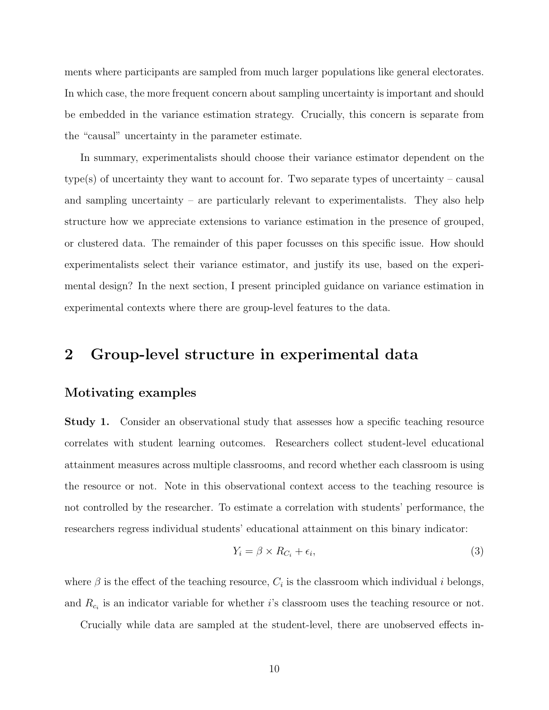ments where participants are sampled from much larger populations like general electorates. In which case, the more frequent concern about sampling uncertainty is important and should be embedded in the variance estimation strategy. Crucially, this concern is separate from the "causal" uncertainty in the parameter estimate.

In summary, experimentalists should choose their variance estimator dependent on the type(s) of uncertainty they want to account for. Two separate types of uncertainty – causal and sampling uncertainty – are particularly relevant to experimentalists. They also help structure how we appreciate extensions to variance estimation in the presence of grouped, or clustered data. The remainder of this paper focusses on this specific issue. How should experimentalists select their variance estimator, and justify its use, based on the experimental design? In the next section, I present principled guidance on variance estimation in experimental contexts where there are group-level features to the data.

### <span id="page-9-0"></span>2 Group-level structure in experimental data

#### Motivating examples

**Study 1.** Consider an observational study that assesses how a specific teaching resource correlates with student learning outcomes. Researchers collect student-level educational attainment measures across multiple classrooms, and record whether each classroom is using the resource or not. Note in this observational context access to the teaching resource is not controlled by the researcher. To estimate a correlation with students' performance, the researchers regress individual students' educational attainment on this binary indicator:

$$
Y_i = \beta \times R_{C_i} + \epsilon_i,\tag{3}
$$

where  $\beta$  is the effect of the teaching resource,  $C_i$  is the classroom which individual *i* belongs, and  $R_{c_i}$  is an indicator variable for whether *i*'s classroom uses the teaching resource or not.

Crucially while data are sampled at the student-level, there are unobserved effects in-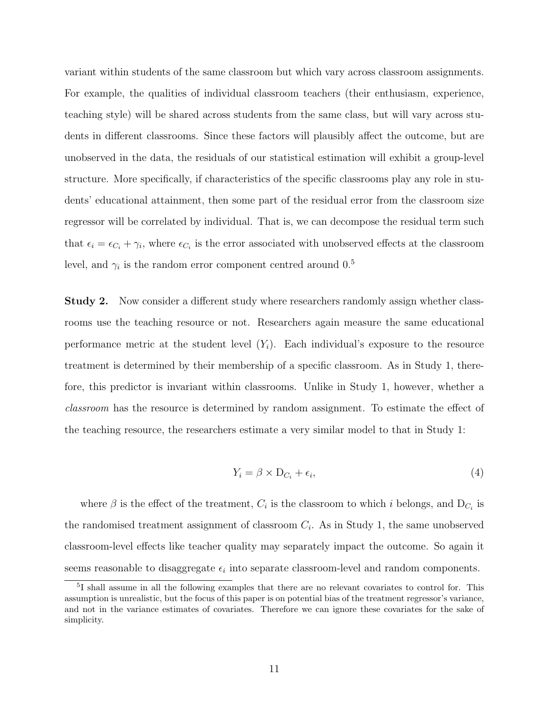variant within students of the same classroom but which vary across classroom assignments. For example, the qualities of individual classroom teachers (their enthusiasm, experience, teaching style) will be shared across students from the same class, but will vary across students in different classrooms. Since these factors will plausibly affect the outcome, but are unobserved in the data, the residuals of our statistical estimation will exhibit a group-level structure. More specifically, if characteristics of the specific classrooms play any role in students' educational attainment, then some part of the residual error from the classroom size regressor will be correlated by individual. That is, we can decompose the residual term such that  $\epsilon_i = \epsilon_{C_i} + \gamma_i$ , where  $\epsilon_{C_i}$  is the error associated with unobserved effects at the classroom level, and  $\gamma_i$  is the random error component centred around  $0.5$  $0.5$ 

Study 2. Now consider a different study where researchers randomly assign whether classrooms use the teaching resource or not. Researchers again measure the same educational performance metric at the student level  $(Y_i)$ . Each individual's exposure to the resource treatment is determined by their membership of a specific classroom. As in Study 1, therefore, this predictor is invariant within classrooms. Unlike in Study 1, however, whether a classroom has the resource is determined by random assignment. To estimate the effect of the teaching resource, the researchers estimate a very similar model to that in Study 1:

$$
Y_i = \beta \times D_{C_i} + \epsilon_i,\tag{4}
$$

where  $\beta$  is the effect of the treatment,  $C_i$  is the classroom to which i belongs, and  $D_{C_i}$  is the randomised treatment assignment of classroom  $C_i$ . As in Study 1, the same unobserved classroom-level effects like teacher quality may separately impact the outcome. So again it seems reasonable to disaggregate  $\epsilon_i$  into separate classroom-level and random components.

<span id="page-10-0"></span><sup>&</sup>lt;sup>5</sup>I shall assume in all the following examples that there are no relevant covariates to control for. This assumption is unrealistic, but the focus of this paper is on potential bias of the treatment regressor's variance, and not in the variance estimates of covariates. Therefore we can ignore these covariates for the sake of simplicity.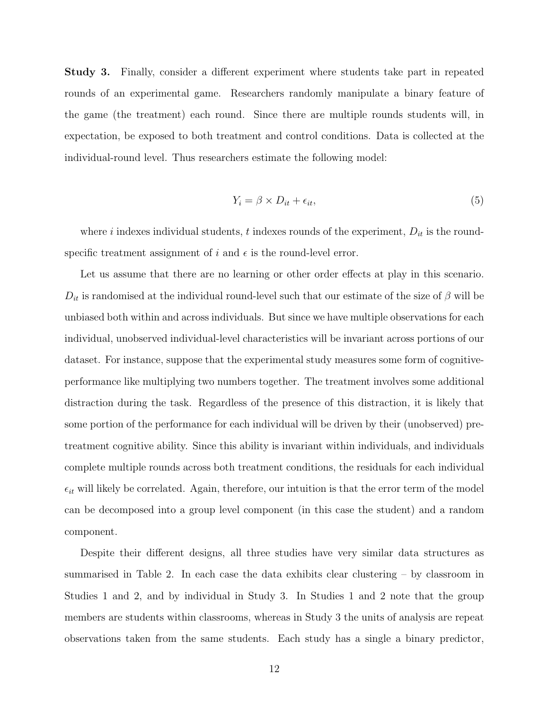Study 3. Finally, consider a different experiment where students take part in repeated rounds of an experimental game. Researchers randomly manipulate a binary feature of the game (the treatment) each round. Since there are multiple rounds students will, in expectation, be exposed to both treatment and control conditions. Data is collected at the individual-round level. Thus researchers estimate the following model:

$$
Y_i = \beta \times D_{it} + \epsilon_{it},\tag{5}
$$

where i indexes individual students, t indexes rounds of the experiment,  $D_{it}$  is the roundspecific treatment assignment of i and  $\epsilon$  is the round-level error.

Let us assume that there are no learning or other order effects at play in this scenario.  $D_{it}$  is randomised at the individual round-level such that our estimate of the size of  $\beta$  will be unbiased both within and across individuals. But since we have multiple observations for each individual, unobserved individual-level characteristics will be invariant across portions of our dataset. For instance, suppose that the experimental study measures some form of cognitiveperformance like multiplying two numbers together. The treatment involves some additional distraction during the task. Regardless of the presence of this distraction, it is likely that some portion of the performance for each individual will be driven by their (unobserved) pretreatment cognitive ability. Since this ability is invariant within individuals, and individuals complete multiple rounds across both treatment conditions, the residuals for each individual  $\epsilon_{it}$  will likely be correlated. Again, therefore, our intuition is that the error term of the model can be decomposed into a group level component (in this case the student) and a random component.

Despite their different designs, all three studies have very similar data structures as summarised in Table [2.](#page-12-0) In each case the data exhibits clear clustering – by classroom in Studies 1 and 2, and by individual in Study 3. In Studies 1 and 2 note that the group members are students within classrooms, whereas in Study 3 the units of analysis are repeat observations taken from the same students. Each study has a single a binary predictor,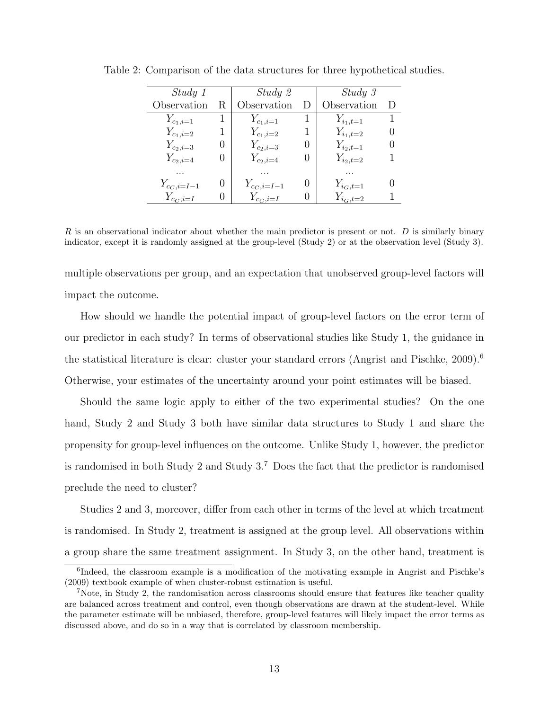| Study 1         |                  | Study 2         | Study 3             |   |
|-----------------|------------------|-----------------|---------------------|---|
| Observation     | R                | Observation     | Observation         | D |
| $Y_{c_1,i=1}$   |                  | $Y_{c_1,i=1}$   | $Y_{i_1,t=1}$       | 1 |
| $Y_{c_1,i=2}$   |                  | $Y_{c_1,i=2}$   | $Y_{i_1,t=2}$       |   |
| $Y_{c_2,i=3}$   |                  | $Y_{c_2,i=3}$   | $Y_{i_2,t=1}$       |   |
| $Y_{c_2,i=4}$   |                  | $Y_{c_2,i=4}$   | $Y_{i_2,t=2}$       |   |
| .               |                  |                 |                     |   |
| $Y_{c_C,i=I-1}$ | $\left( \right)$ | $Y_{c_C,i=I-1}$ | $Y_{i_G,t=1}$       |   |
| $Y_{c_C,i=I}$   |                  | $Y_{c_C,i=I}$   | $Y_{i_{\rm C},t=2}$ |   |

<span id="page-12-0"></span>Table 2: Comparison of the data structures for three hypothetical studies.

 $R$  is an observational indicator about whether the main predictor is present or not.  $D$  is similarly binary indicator, except it is randomly assigned at the group-level (Study 2) or at the observation level (Study 3).

multiple observations per group, and an expectation that unobserved group-level factors will impact the outcome.

How should we handle the potential impact of group-level factors on the error term of our predictor in each study? In terms of observational studies like Study 1, the guidance in the statistical literature is clear: cluster your standard errors (Angrist and Pischke,  $2009$ ).<sup>[6](#page-12-1)</sup> Otherwise, your estimates of the uncertainty around your point estimates will be biased.

Should the same logic apply to either of the two experimental studies? On the one hand, Study 2 and Study 3 both have similar data structures to Study 1 and share the propensity for group-level influences on the outcome. Unlike Study 1, however, the predictor is randomised in both Study 2 and Study 3.[7](#page-12-2) Does the fact that the predictor is randomised preclude the need to cluster?

Studies 2 and 3, moreover, differ from each other in terms of the level at which treatment is randomised. In Study 2, treatment is assigned at the group level. All observations within a group share the same treatment assignment. In Study 3, on the other hand, treatment is

<span id="page-12-1"></span><sup>&</sup>lt;sup>6</sup>Indeed, the classroom example is a modification of the motivating example in Angrist and Pischke's [\(2009\)](#page-41-4) textbook example of when cluster-robust estimation is useful.

<span id="page-12-2"></span><sup>7</sup>Note, in Study 2, the randomisation across classrooms should ensure that features like teacher quality are balanced across treatment and control, even though observations are drawn at the student-level. While the parameter estimate will be unbiased, therefore, group-level features will likely impact the error terms as discussed above, and do so in a way that is correlated by classroom membership.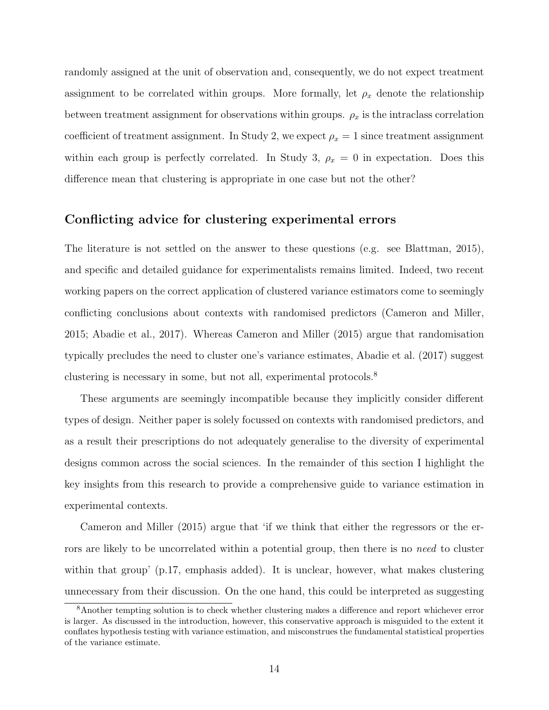randomly assigned at the unit of observation and, consequently, we do not expect treatment assignment to be correlated within groups. More formally, let  $\rho_x$  denote the relationship between treatment assignment for observations within groups.  $\rho_x$  is the intraclass correlation coefficient of treatment assignment. In Study 2, we expect  $\rho_x = 1$  since treatment assignment within each group is perfectly correlated. In Study 3,  $\rho_x = 0$  in expectation. Does this difference mean that clustering is appropriate in one case but not the other?

#### Conflicting advice for clustering experimental errors

The literature is not settled on the answer to these questions (e.g. see [Blattman, 2015\)](#page-41-0), and specific and detailed guidance for experimentalists remains limited. Indeed, two recent working papers on the correct application of clustered variance estimators come to seemingly conflicting conclusions about contexts with randomised predictors [\(Cameron and Miller,](#page-42-1) [2015;](#page-42-1) [Abadie et al., 2017\)](#page-41-2). Whereas [Cameron and Miller](#page-42-1) [\(2015\)](#page-42-1) argue that randomisation typically precludes the need to cluster one's variance estimates, [Abadie et al.](#page-41-2) [\(2017\)](#page-41-2) suggest clustering is necessary in some, but not all, experimental protocols.[8](#page-13-0)

These arguments are seemingly incompatible because they implicitly consider different types of design. Neither paper is solely focussed on contexts with randomised predictors, and as a result their prescriptions do not adequately generalise to the diversity of experimental designs common across the social sciences. In the remainder of this section I highlight the key insights from this research to provide a comprehensive guide to variance estimation in experimental contexts.

[Cameron and Miller](#page-42-1) [\(2015\)](#page-42-1) argue that 'if we think that either the regressors or the errors are likely to be uncorrelated within a potential group, then there is no need to cluster within that group' (p.17, emphasis added). It is unclear, however, what makes clustering unnecessary from their discussion. On the one hand, this could be interpreted as suggesting

<span id="page-13-0"></span><sup>8</sup>Another tempting solution is to check whether clustering makes a difference and report whichever error is larger. As discussed in the introduction, however, this conservative approach is misguided to the extent it conflates hypothesis testing with variance estimation, and misconstrues the fundamental statistical properties of the variance estimate.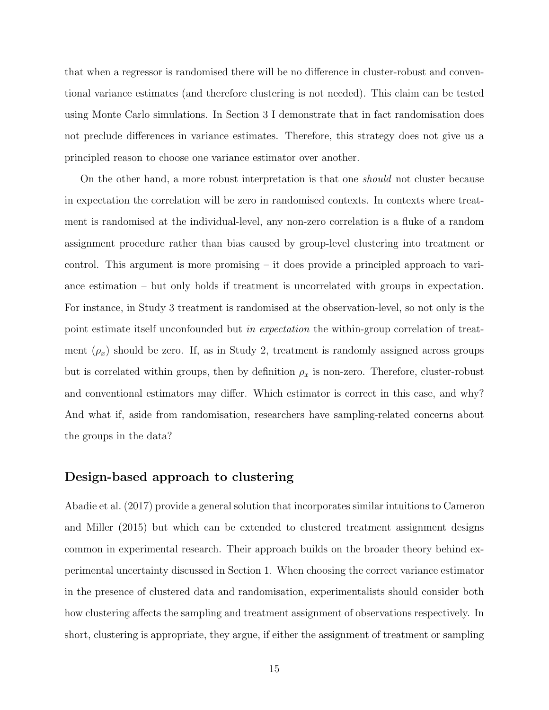that when a regressor is randomised there will be no difference in cluster-robust and conventional variance estimates (and therefore clustering is not needed). This claim can be tested using Monte Carlo simulations. In Section [3](#page-19-0) I demonstrate that in fact randomisation does not preclude differences in variance estimates. Therefore, this strategy does not give us a principled reason to choose one variance estimator over another.

On the other hand, a more robust interpretation is that one should not cluster because in expectation the correlation will be zero in randomised contexts. In contexts where treatment is randomised at the individual-level, any non-zero correlation is a fluke of a random assignment procedure rather than bias caused by group-level clustering into treatment or control. This argument is more promising – it does provide a principled approach to variance estimation – but only holds if treatment is uncorrelated with groups in expectation. For instance, in Study 3 treatment is randomised at the observation-level, so not only is the point estimate itself unconfounded but in expectation the within-group correlation of treatment  $(\rho_x)$  should be zero. If, as in Study 2, treatment is randomly assigned across groups but is correlated within groups, then by definition  $\rho_x$  is non-zero. Therefore, cluster-robust and conventional estimators may differ. Which estimator is correct in this case, and why? And what if, aside from randomisation, researchers have sampling-related concerns about the groups in the data?

#### Design-based approach to clustering

[Abadie et al.](#page-41-2) [\(2017\)](#page-41-2) provide a general solution that incorporates similar intuitions to [Cameron](#page-42-1) [and Miller](#page-42-1) [\(2015\)](#page-42-1) but which can be extended to clustered treatment assignment designs common in experimental research. Their approach builds on the broader theory behind experimental uncertainty discussed in Section [1.](#page-4-1) When choosing the correct variance estimator in the presence of clustered data and randomisation, experimentalists should consider both how clustering affects the sampling and treatment assignment of observations respectively. In short, clustering is appropriate, they argue, if either the assignment of treatment or sampling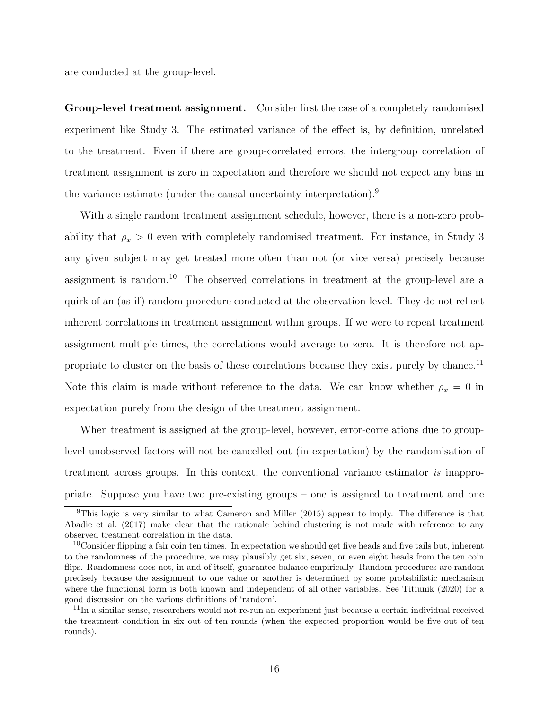are conducted at the group-level.

Group-level treatment assignment. Consider first the case of a completely randomised experiment like Study 3. The estimated variance of the effect is, by definition, unrelated to the treatment. Even if there are group-correlated errors, the intergroup correlation of treatment assignment is zero in expectation and therefore we should not expect any bias in the variance estimate (under the causal uncertainty interpretation).[9](#page-15-0)

With a single random treatment assignment schedule, however, there is a non-zero probability that  $\rho_x > 0$  even with completely randomised treatment. For instance, in Study 3 any given subject may get treated more often than not (or vice versa) precisely because assignment is random.[10](#page-15-1) The observed correlations in treatment at the group-level are a quirk of an (as-if) random procedure conducted at the observation-level. They do not reflect inherent correlations in treatment assignment within groups. If we were to repeat treatment assignment multiple times, the correlations would average to zero. It is therefore not ap-propriate to cluster on the basis of these correlations because they exist purely by chance.<sup>[11](#page-15-2)</sup> Note this claim is made without reference to the data. We can know whether  $\rho_x = 0$  in expectation purely from the design of the treatment assignment.

When treatment is assigned at the group-level, however, error-correlations due to grouplevel unobserved factors will not be cancelled out (in expectation) by the randomisation of treatment across groups. In this context, the conventional variance estimator is inappropriate. Suppose you have two pre-existing groups – one is assigned to treatment and one

<span id="page-15-0"></span><sup>9</sup>This logic is very similar to what [Cameron and Miller](#page-42-1) [\(2015\)](#page-42-1) appear to imply. The difference is that [Abadie et al.](#page-41-2) [\(2017\)](#page-41-2) make clear that the rationale behind clustering is not made with reference to any observed treatment correlation in the data.

<span id="page-15-1"></span> $10\text{Consider flipping a fair coin ten times. In expectation we should get five heads and five tails but, inherent$ to the randomness of the procedure, we may plausibly get six, seven, or even eight heads from the ten coin flips. Randomness does not, in and of itself, guarantee balance empirically. Random procedures are random precisely because the assignment to one value or another is determined by some probabilistic mechanism where the functional form is both known and independent of all other variables. See [Titiunik](#page-46-3) [\(2020\)](#page-46-3) for a good discussion on the various definitions of 'random'.

<span id="page-15-2"></span><sup>&</sup>lt;sup>11</sup>In a similar sense, researchers would not re-run an experiment just because a certain individual received the treatment condition in six out of ten rounds (when the expected proportion would be five out of ten rounds).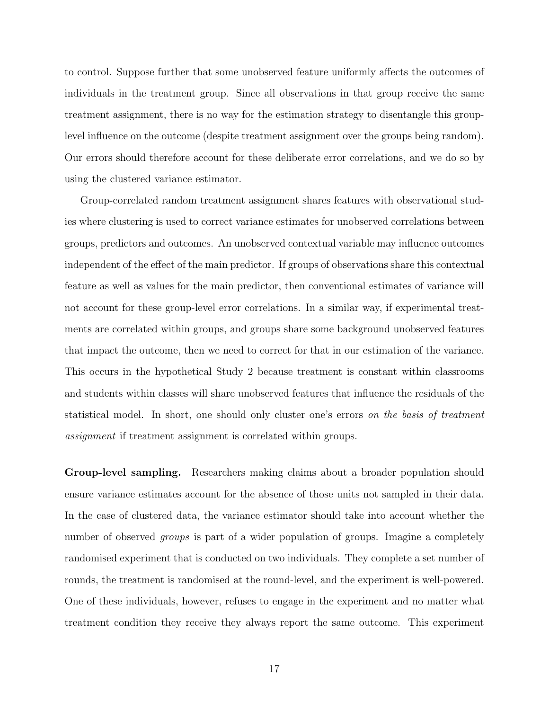to control. Suppose further that some unobserved feature uniformly affects the outcomes of individuals in the treatment group. Since all observations in that group receive the same treatment assignment, there is no way for the estimation strategy to disentangle this grouplevel influence on the outcome (despite treatment assignment over the groups being random). Our errors should therefore account for these deliberate error correlations, and we do so by using the clustered variance estimator.

Group-correlated random treatment assignment shares features with observational studies where clustering is used to correct variance estimates for unobserved correlations between groups, predictors and outcomes. An unobserved contextual variable may influence outcomes independent of the effect of the main predictor. If groups of observations share this contextual feature as well as values for the main predictor, then conventional estimates of variance will not account for these group-level error correlations. In a similar way, if experimental treatments are correlated within groups, and groups share some background unobserved features that impact the outcome, then we need to correct for that in our estimation of the variance. This occurs in the hypothetical Study 2 because treatment is constant within classrooms and students within classes will share unobserved features that influence the residuals of the statistical model. In short, one should only cluster one's errors on the basis of treatment assignment if treatment assignment is correlated within groups.

Group-level sampling. Researchers making claims about a broader population should ensure variance estimates account for the absence of those units not sampled in their data. In the case of clustered data, the variance estimator should take into account whether the number of observed *groups* is part of a wider population of groups. Imagine a completely randomised experiment that is conducted on two individuals. They complete a set number of rounds, the treatment is randomised at the round-level, and the experiment is well-powered. One of these individuals, however, refuses to engage in the experiment and no matter what treatment condition they receive they always report the same outcome. This experiment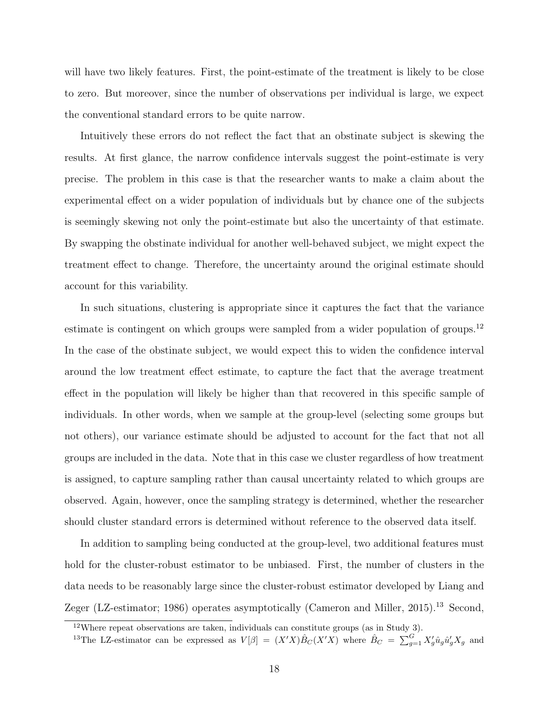will have two likely features. First, the point-estimate of the treatment is likely to be close to zero. But moreover, since the number of observations per individual is large, we expect the conventional standard errors to be quite narrow.

Intuitively these errors do not reflect the fact that an obstinate subject is skewing the results. At first glance, the narrow confidence intervals suggest the point-estimate is very precise. The problem in this case is that the researcher wants to make a claim about the experimental effect on a wider population of individuals but by chance one of the subjects is seemingly skewing not only the point-estimate but also the uncertainty of that estimate. By swapping the obstinate individual for another well-behaved subject, we might expect the treatment effect to change. Therefore, the uncertainty around the original estimate should account for this variability.

In such situations, clustering is appropriate since it captures the fact that the variance estimate is contingent on which groups were sampled from a wider population of groups.<sup>[12](#page-17-0)</sup> In the case of the obstinate subject, we would expect this to widen the confidence interval around the low treatment effect estimate, to capture the fact that the average treatment effect in the population will likely be higher than that recovered in this specific sample of individuals. In other words, when we sample at the group-level (selecting some groups but not others), our variance estimate should be adjusted to account for the fact that not all groups are included in the data. Note that in this case we cluster regardless of how treatment is assigned, to capture sampling rather than causal uncertainty related to which groups are observed. Again, however, once the sampling strategy is determined, whether the researcher should cluster standard errors is determined without reference to the observed data itself.

In addition to sampling being conducted at the group-level, two additional features must hold for the cluster-robust estimator to be unbiased. First, the number of clusters in the data needs to be reasonably large since the cluster-robust estimator developed by [Liang and](#page-45-1) [Zeger](#page-45-1) (LZ-estimator; [1986\)](#page-45-1) operates asymptotically [\(Cameron and Miller, 2015\)](#page-42-1).<sup>[13](#page-17-1)</sup> Second,

<span id="page-17-0"></span> $12$ Where repeat observations are taken, individuals can constitute groups (as in Study 3).

<span id="page-17-1"></span><sup>&</sup>lt;sup>13</sup>The LZ-estimator can be expressed as  $V[\beta] = (X'X)\hat{B}_C(X'X)$  where  $\hat{B}_C = \sum_{g=1}^G X'_g \hat{u}_g \hat{u}'_g X_g$  and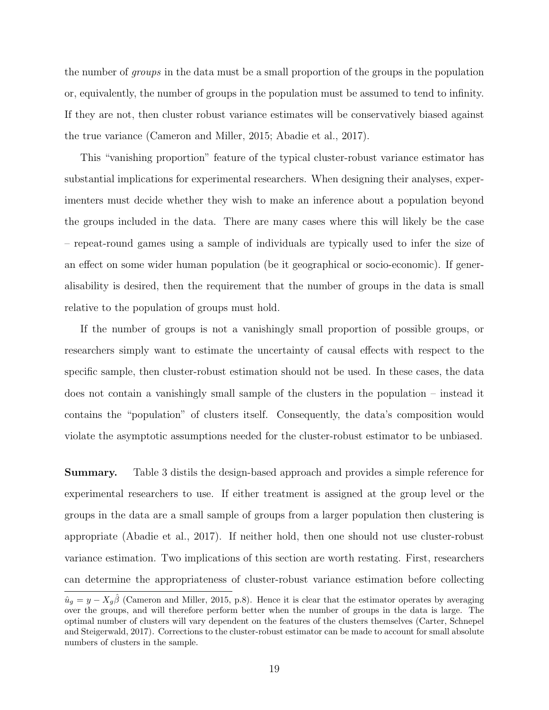the number of groups in the data must be a small proportion of the groups in the population or, equivalently, the number of groups in the population must be assumed to tend to infinity. If they are not, then cluster robust variance estimates will be conservatively biased against the true variance [\(Cameron and Miller, 2015;](#page-42-1) [Abadie et al., 2017\)](#page-41-2).

This "vanishing proportion" feature of the typical cluster-robust variance estimator has substantial implications for experimental researchers. When designing their analyses, experimenters must decide whether they wish to make an inference about a population beyond the groups included in the data. There are many cases where this will likely be the case – repeat-round games using a sample of individuals are typically used to infer the size of an effect on some wider human population (be it geographical or socio-economic). If generalisability is desired, then the requirement that the number of groups in the data is small relative to the population of groups must hold.

If the number of groups is not a vanishingly small proportion of possible groups, or researchers simply want to estimate the uncertainty of causal effects with respect to the specific sample, then cluster-robust estimation should not be used. In these cases, the data does not contain a vanishingly small sample of the clusters in the population – instead it contains the "population" of clusters itself. Consequently, the data's composition would violate the asymptotic assumptions needed for the cluster-robust estimator to be unbiased.

Summary. Table [3](#page-19-1) distils the design-based approach and provides a simple reference for experimental researchers to use. If either treatment is assigned at the group level or the groups in the data are a small sample of groups from a larger population then clustering is appropriate [\(Abadie et al., 2017\)](#page-41-2). If neither hold, then one should not use cluster-robust variance estimation. Two implications of this section are worth restating. First, researchers can determine the appropriateness of cluster-robust variance estimation before collecting

 $\hat{u}_g = y - X_g \hat{\beta}$  [\(Cameron and Miller, 2015,](#page-42-1) p.8). Hence it is clear that the estimator operates by averaging over the groups, and will therefore perform better when the number of groups in the data is large. The optimal number of clusters will vary dependent on the features of the clusters themselves [\(Carter, Schnepel](#page-42-2) [and Steigerwald, 2017\)](#page-42-2). Corrections to the cluster-robust estimator can be made to account for small absolute numbers of clusters in the sample.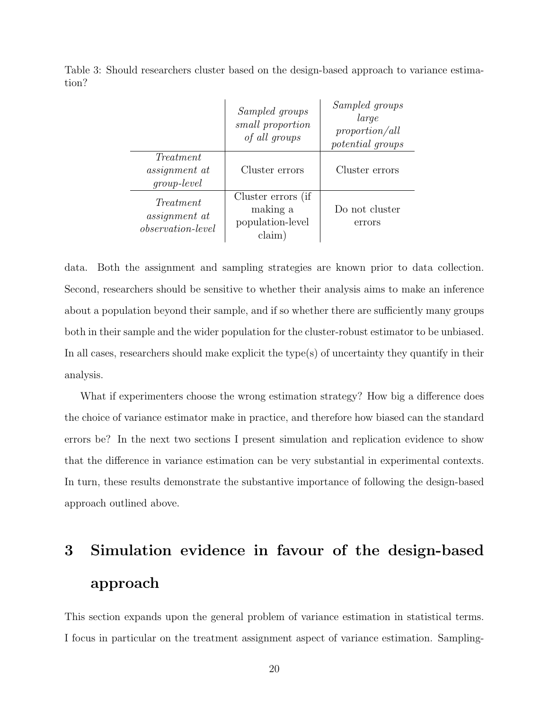<span id="page-19-1"></span>Table 3: Should researchers cluster based on the design-based approach to variance estimation?

|                                                               | Sampled groups<br>small proportion<br>of all groups          | Sampled groups<br>large<br>proportion/all<br>potential groups |
|---------------------------------------------------------------|--------------------------------------------------------------|---------------------------------------------------------------|
| Treatment<br><i>assignment</i> at<br>$group-level$            | Cluster errors                                               | Cluster errors                                                |
| Treatment<br><i>assignment</i> at<br><i>observation-level</i> | Cluster errors (if<br>making a<br>population-level<br>claim) | Do not cluster<br>errors                                      |

data. Both the assignment and sampling strategies are known prior to data collection. Second, researchers should be sensitive to whether their analysis aims to make an inference about a population beyond their sample, and if so whether there are sufficiently many groups both in their sample and the wider population for the cluster-robust estimator to be unbiased. In all cases, researchers should make explicit the type(s) of uncertainty they quantify in their analysis.

What if experimenters choose the wrong estimation strategy? How big a difference does the choice of variance estimator make in practice, and therefore how biased can the standard errors be? In the next two sections I present simulation and replication evidence to show that the difference in variance estimation can be very substantial in experimental contexts. In turn, these results demonstrate the substantive importance of following the design-based approach outlined above.

# <span id="page-19-0"></span>3 Simulation evidence in favour of the design-based approach

This section expands upon the general problem of variance estimation in statistical terms. I focus in particular on the treatment assignment aspect of variance estimation. Sampling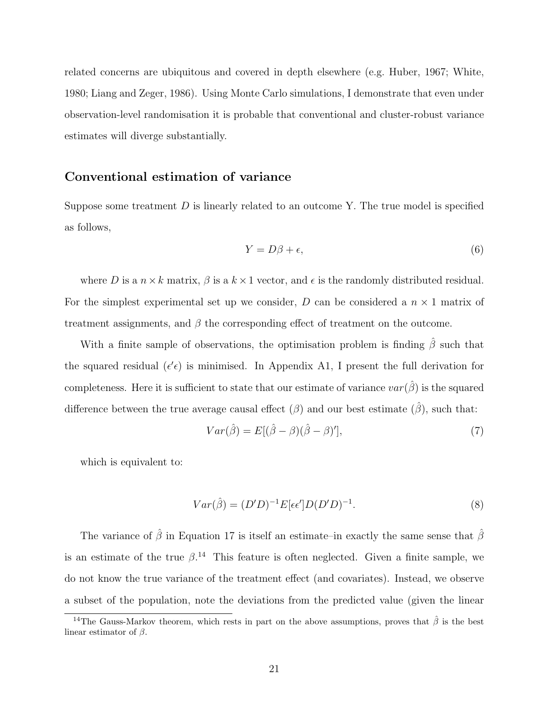related concerns are ubiquitous and covered in depth elsewhere (e.g. [Huber, 1967;](#page-44-0) [White,](#page-46-0) [1980;](#page-46-0) [Liang and Zeger, 1986\)](#page-45-1). Using Monte Carlo simulations, I demonstrate that even under observation-level randomisation it is probable that conventional and cluster-robust variance estimates will diverge substantially.

#### Conventional estimation of variance

Suppose some treatment  $D$  is linearly related to an outcome Y. The true model is specified as follows,

$$
Y = D\beta + \epsilon,\tag{6}
$$

where D is a  $n \times k$  matrix,  $\beta$  is a  $k \times 1$  vector, and  $\epsilon$  is the randomly distributed residual. For the simplest experimental set up we consider,  $D$  can be considered a  $n \times 1$  matrix of treatment assignments, and  $\beta$  the corresponding effect of treatment on the outcome.

With a finite sample of observations, the optimisation problem is finding  $\hat{\beta}$  such that the squared residual ( $\epsilon' \epsilon$ ) is minimised. In Appendix A1, I present the full derivation for completeness. Here it is sufficient to state that our estimate of variance  $var(\hat{\beta})$  is the squared difference between the true average causal effect  $(\beta)$  and our best estimate  $(\hat{\beta})$ , such that:

$$
Var(\hat{\beta}) = E[(\hat{\beta} - \beta)(\hat{\beta} - \beta)'],
$$
\n(7)

which is equivalent to:

$$
Var(\hat{\beta}) = (D'D)^{-1} E[\epsilon \epsilon'] D(D'D)^{-1}.
$$
\n(8)

The variance of  $\hat{\beta}$  in Equation [17](#page-51-0) is itself an estimate–in exactly the same sense that  $\hat{\beta}$ is an estimate of the true  $\beta$ .<sup>[14](#page-20-0)</sup> This feature is often neglected. Given a finite sample, we do not know the true variance of the treatment effect (and covariates). Instead, we observe a subset of the population, note the deviations from the predicted value (given the linear

<span id="page-20-0"></span><sup>&</sup>lt;sup>14</sup>The Gauss-Markov theorem, which rests in part on the above assumptions, proves that  $\hat{\beta}$  is the best linear estimator of  $\beta$ .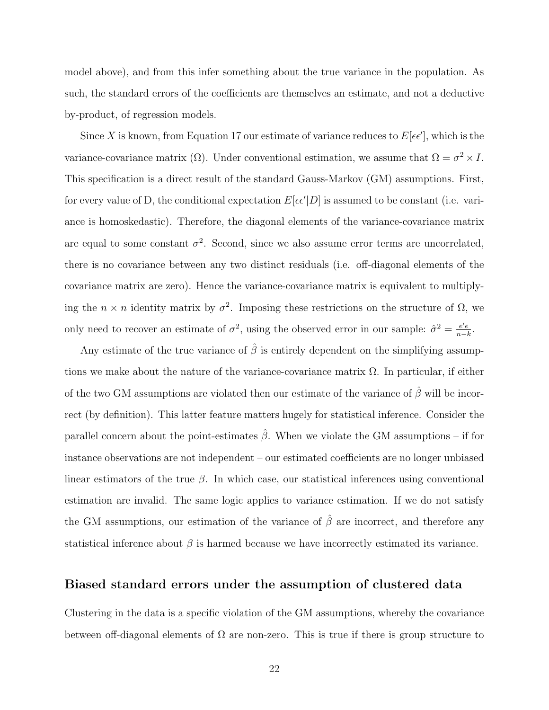model above), and from this infer something about the true variance in the population. As such, the standard errors of the coefficients are themselves an estimate, and not a deductive by-product, of regression models.

Since X is known, from Equation [17](#page-51-0) our estimate of variance reduces to  $E[\epsilon \epsilon']$ , which is the variance-covariance matrix ( $\Omega$ ). Under conventional estimation, we assume that  $\Omega = \sigma^2 \times I$ . This specification is a direct result of the standard Gauss-Markov (GM) assumptions. First, for every value of D, the conditional expectation  $E[\epsilon \epsilon' | D]$  is assumed to be constant (i.e. variance is homoskedastic). Therefore, the diagonal elements of the variance-covariance matrix are equal to some constant  $\sigma^2$ . Second, since we also assume error terms are uncorrelated, there is no covariance between any two distinct residuals (i.e. off-diagonal elements of the covariance matrix are zero). Hence the variance-covariance matrix is equivalent to multiplying the  $n \times n$  identity matrix by  $\sigma^2$ . Imposing these restrictions on the structure of  $\Omega$ , we only need to recover an estimate of  $\sigma^2$ , using the observed error in our sample:  $\hat{\sigma}^2 = \frac{e^i e}{n-i}$  $\frac{e'e}{n-k}$ .

Any estimate of the true variance of  $\hat{\beta}$  is entirely dependent on the simplifying assumptions we make about the nature of the variance-covariance matrix  $\Omega$ . In particular, if either of the two GM assumptions are violated then our estimate of the variance of  $\hat{\beta}$  will be incorrect (by definition). This latter feature matters hugely for statistical inference. Consider the parallel concern about the point-estimates  $\hat{\beta}$ . When we violate the GM assumptions – if for instance observations are not independent – our estimated coefficients are no longer unbiased linear estimators of the true  $\beta$ . In which case, our statistical inferences using conventional estimation are invalid. The same logic applies to variance estimation. If we do not satisfy the GM assumptions, our estimation of the variance of  $\hat{\beta}$  are incorrect, and therefore any statistical inference about  $\beta$  is harmed because we have incorrectly estimated its variance.

#### Biased standard errors under the assumption of clustered data

Clustering in the data is a specific violation of the GM assumptions, whereby the covariance between off-diagonal elements of  $\Omega$  are non-zero. This is true if there is group structure to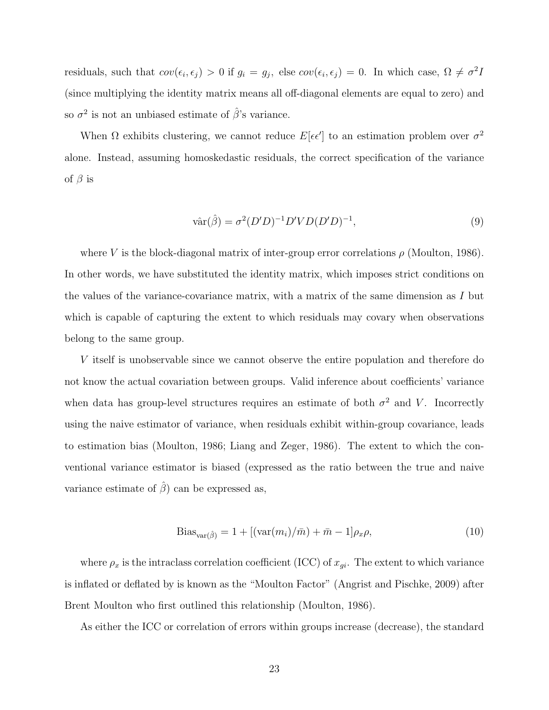residuals, such that  $cov(\epsilon_i, \epsilon_j) > 0$  if  $g_i = g_j$ , else  $cov(\epsilon_i, \epsilon_j) = 0$ . In which case,  $\Omega \neq \sigma^2 I$ (since multiplying the identity matrix means all off-diagonal elements are equal to zero) and so  $\sigma^2$  is not an unbiased estimate of  $\hat{\beta}$ 's variance.

When  $\Omega$  exhibits clustering, we cannot reduce  $E[\epsilon \epsilon']$  to an estimation problem over  $\sigma^2$ alone. Instead, assuming homoskedastic residuals, the correct specification of the variance of  $\beta$  is

$$
\hat{\text{var}}(\hat{\beta}) = \sigma^2 (D'D)^{-1} D' V D (D'D)^{-1},\tag{9}
$$

where V is the block-diagonal matrix of inter-group error correlations  $\rho$  [\(Moulton, 1986\)](#page-45-0). In other words, we have substituted the identity matrix, which imposes strict conditions on the values of the variance-covariance matrix, with a matrix of the same dimension as I but which is capable of capturing the extent to which residuals may covary when observations belong to the same group.

V itself is unobservable since we cannot observe the entire population and therefore do not know the actual covariation between groups. Valid inference about coefficients' variance when data has group-level structures requires an estimate of both  $\sigma^2$  and V. Incorrectly using the naive estimator of variance, when residuals exhibit within-group covariance, leads to estimation bias [\(Moulton, 1986;](#page-45-0) [Liang and Zeger, 1986\)](#page-45-1). The extent to which the conventional variance estimator is biased (expressed as the ratio between the true and naive variance estimate of  $\hat{\beta}$  can be expressed as,

<span id="page-22-0"></span>
$$
Biasvar(\hat{\beta}) = 1 + [(\text{var}(m_i)/\bar{m}) + \bar{m} - 1] \rho_x \rho,
$$
\n(10)

where  $\rho_x$  is the intraclass correlation coefficient (ICC) of  $x_{gi}$ . The extent to which variance is inflated or deflated by is known as the "Moulton Factor" [\(Angrist and Pischke, 2009\)](#page-41-4) after Brent Moulton who first outlined this relationship [\(Moulton, 1986\)](#page-45-0).

As either the ICC or correlation of errors within groups increase (decrease), the standard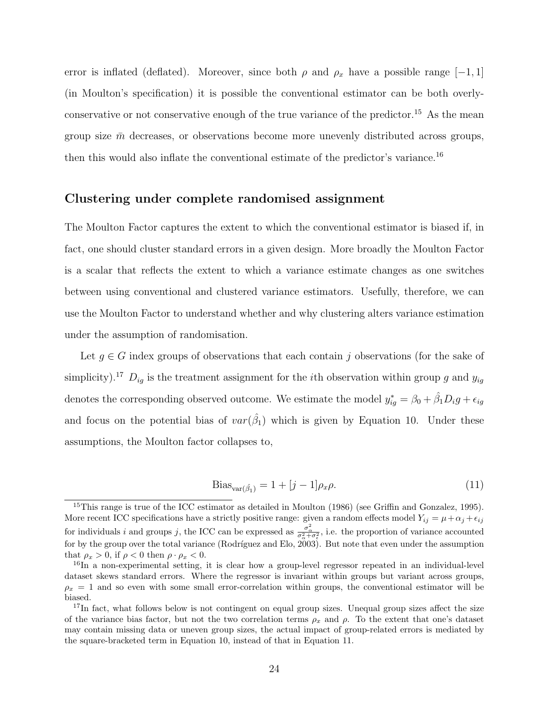error is inflated (deflated). Moreover, since both  $\rho$  and  $\rho_x$  have a possible range [-1, 1] (in Moulton's specification) it is possible the conventional estimator can be both overly-conservative or not conservative enough of the true variance of the predictor.<sup>[15](#page-23-0)</sup> As the mean group size  $\bar{m}$  decreases, or observations become more unevenly distributed across groups, then this would also inflate the conventional estimate of the predictor's variance.[16](#page-23-1)

#### Clustering under complete randomised assignment

The Moulton Factor captures the extent to which the conventional estimator is biased if, in fact, one should cluster standard errors in a given design. More broadly the Moulton Factor is a scalar that reflects the extent to which a variance estimate changes as one switches between using conventional and clustered variance estimators. Usefully, therefore, we can use the Moulton Factor to understand whether and why clustering alters variance estimation under the assumption of randomisation.

Let  $g \in G$  index groups of observations that each contain j observations (for the sake of simplicity).<sup>[17](#page-23-2)</sup>  $D_{ig}$  is the treatment assignment for the *i*th observation within group g and  $y_{ig}$ denotes the corresponding observed outcome. We estimate the model  $y_{ig}^* = \beta_0 + \hat{\beta_1}D_ig + \epsilon_{ig}$ and focus on the potential bias of  $var(\hat{\beta}_1)$  which is given by Equation [10.](#page-22-0) Under these assumptions, the Moulton factor collapses to,

<span id="page-23-3"></span>
$$
\text{Bias}_{\text{var}(\hat{\beta}_1)} = 1 + [j-1]\rho_x \rho. \tag{11}
$$

<span id="page-23-0"></span> $15$ This range is true of the ICC estimator as detailed in [Moulton](#page-45-0) [\(1986\)](#page-45-0) (see [Griffin and Gonzalez, 1995\)](#page-43-5). More recent ICC specifications have a strictly positive range: given a random effects model  $Y_{ij} = \mu + \alpha_j + \epsilon_{ij}$ for individuals i and groups j, the ICC can be expressed as  $\frac{\sigma_{\alpha}^2}{\sigma_{\alpha}^2 + \sigma_{\epsilon}^2}$ , i.e. the proportion of variance accounted for by the group over the total variance (Rodríguez and Elo,  $2003$ ). But note that even under the assumption that  $\rho_x > 0$ , if  $\rho < 0$  then  $\rho \cdot \rho_x < 0$ .

<span id="page-23-1"></span><sup>&</sup>lt;sup>16</sup>In a non-experimental setting, it is clear how a group-level regressor repeated in an individual-level dataset skews standard errors. Where the regressor is invariant within groups but variant across groups,  $\rho_x = 1$  and so even with some small error-correlation within groups, the conventional estimator will be biased.

<span id="page-23-2"></span><sup>&</sup>lt;sup>17</sup>In fact, what follows below is not contingent on equal group sizes. Unequal group sizes affect the size of the variance bias factor, but not the two correlation terms  $\rho_x$  and  $\rho$ . To the extent that one's dataset may contain missing data or uneven group sizes, the actual impact of group-related errors is mediated by the square-bracketed term in Equation [10,](#page-22-0) instead of that in Equation [11.](#page-23-3)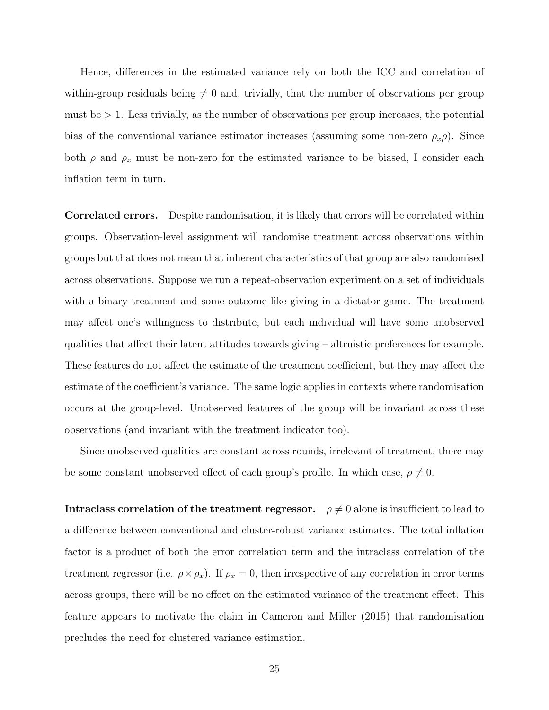Hence, differences in the estimated variance rely on both the ICC and correlation of within-group residuals being  $\neq 0$  and, trivially, that the number of observations per group must be  $> 1$ . Less trivially, as the number of observations per group increases, the potential bias of the conventional variance estimator increases (assuming some non-zero  $\rho_x \rho$ ). Since both  $\rho$  and  $\rho_x$  must be non-zero for the estimated variance to be biased, I consider each inflation term in turn.

Correlated errors. Despite randomisation, it is likely that errors will be correlated within groups. Observation-level assignment will randomise treatment across observations within groups but that does not mean that inherent characteristics of that group are also randomised across observations. Suppose we run a repeat-observation experiment on a set of individuals with a binary treatment and some outcome like giving in a dictator game. The treatment may affect one's willingness to distribute, but each individual will have some unobserved qualities that affect their latent attitudes towards giving – altruistic preferences for example. These features do not affect the estimate of the treatment coefficient, but they may affect the estimate of the coefficient's variance. The same logic applies in contexts where randomisation occurs at the group-level. Unobserved features of the group will be invariant across these observations (and invariant with the treatment indicator too).

Since unobserved qualities are constant across rounds, irrelevant of treatment, there may be some constant unobserved effect of each group's profile. In which case,  $\rho \neq 0$ .

Intraclass correlation of the treatment regressor.  $\rho \neq 0$  alone is insufficient to lead to a difference between conventional and cluster-robust variance estimates. The total inflation factor is a product of both the error correlation term and the intraclass correlation of the treatment regressor (i.e.  $\rho \times \rho_x$ ). If  $\rho_x = 0$ , then irrespective of any correlation in error terms across groups, there will be no effect on the estimated variance of the treatment effect. This feature appears to motivate the claim in [Cameron and Miller](#page-42-1) [\(2015\)](#page-42-1) that randomisation precludes the need for clustered variance estimation.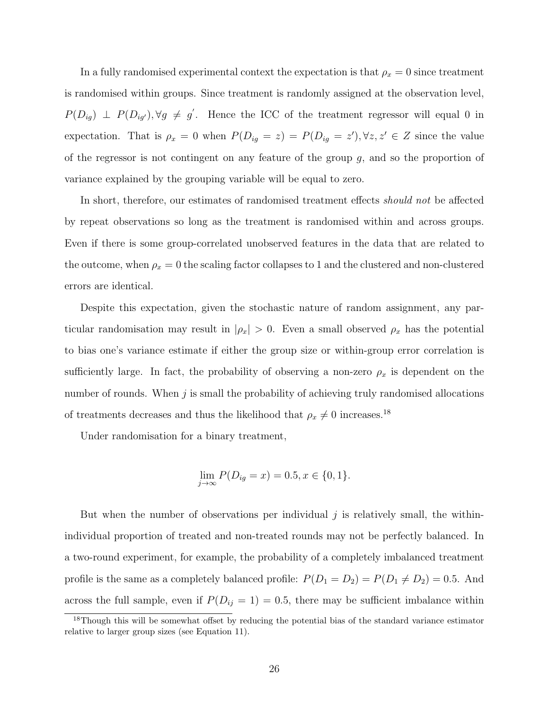In a fully randomised experimental context the expectation is that  $\rho_x = 0$  since treatment is randomised within groups. Since treatment is randomly assigned at the observation level,  $P(D_{ig}) \perp P(D_{ig}), \forall g \neq g'$ . Hence the ICC of the treatment regressor will equal 0 in expectation. That is  $\rho_x = 0$  when  $P(D_{ig} = z) = P(D_{ig} = z')$ ,  $\forall z, z' \in Z$  since the value of the regressor is not contingent on any feature of the group  $g$ , and so the proportion of variance explained by the grouping variable will be equal to zero.

In short, therefore, our estimates of randomised treatment effects *should not* be affected by repeat observations so long as the treatment is randomised within and across groups. Even if there is some group-correlated unobserved features in the data that are related to the outcome, when  $\rho_x = 0$  the scaling factor collapses to 1 and the clustered and non-clustered errors are identical.

Despite this expectation, given the stochastic nature of random assignment, any particular randomisation may result in  $|\rho_x| > 0$ . Even a small observed  $\rho_x$  has the potential to bias one's variance estimate if either the group size or within-group error correlation is sufficiently large. In fact, the probability of observing a non-zero  $\rho_x$  is dependent on the number of rounds. When  $j$  is small the probability of achieving truly randomised allocations of treatments decreases and thus the likelihood that  $\rho_x \neq 0$  increases.<sup>[18](#page-25-0)</sup>

Under randomisation for a binary treatment,

$$
\lim_{j \to \infty} P(D_{ig} = x) = 0.5, x \in \{0, 1\}.
$$

But when the number of observations per individual  $j$  is relatively small, the withinindividual proportion of treated and non-treated rounds may not be perfectly balanced. In a two-round experiment, for example, the probability of a completely imbalanced treatment profile is the same as a completely balanced profile:  $P(D_1 = D_2) = P(D_1 \neq D_2) = 0.5$ . And across the full sample, even if  $P(D_{ij} = 1) = 0.5$ , there may be sufficient imbalance within

<span id="page-25-0"></span><sup>&</sup>lt;sup>18</sup>Though this will be somewhat offset by reducing the potential bias of the standard variance estimator relative to larger group sizes (see Equation [11\)](#page-23-3).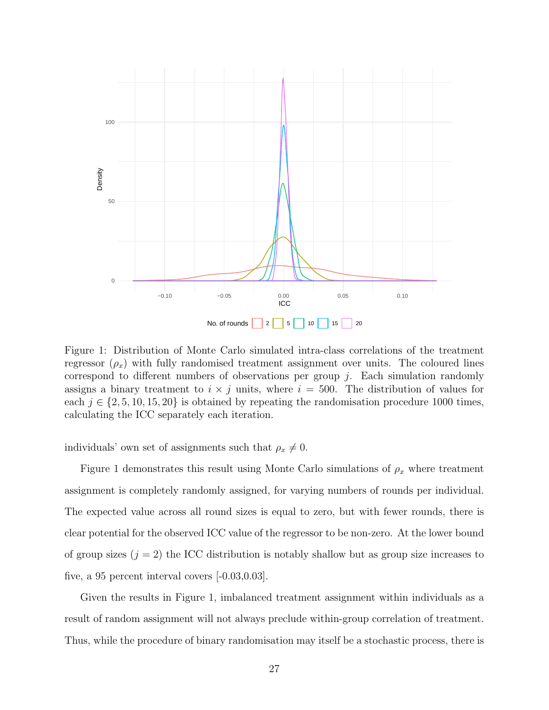<span id="page-26-0"></span>

Figure 1: Distribution of Monte Carlo simulated intra-class correlations of the treatment regressor  $(\rho_x)$  with fully randomised treatment assignment over units. The coloured lines correspond to different numbers of observations per group  $i$ . Each simulation randomly assigns a binary treatment to  $i \times j$  units, where  $i = 500$ . The distribution of values for each  $j \in \{2, 5, 10, 15, 20\}$  is obtained by repeating the randomisation procedure 1000 times, calculating the ICC separately each iteration.

individuals' own set of assignments such that  $\rho_x \neq 0$ .

Figure [1](#page-26-0) demonstrates this result using Monte Carlo simulations of  $\rho_x$  where treatment assignment is completely randomly assigned, for varying numbers of rounds per individual. The expected value across all round sizes is equal to zero, but with fewer rounds, there is clear potential for the observed ICC value of the regressor to be non-zero. At the lower bound of group sizes  $(j = 2)$  the ICC distribution is notably shallow but as group size increases to five, a 95 percent interval covers [-0.03,0.03].

Given the results in Figure [1,](#page-26-0) imbalanced treatment assignment within individuals as a result of random assignment will not always preclude within-group correlation of treatment. Thus, while the procedure of binary randomisation may itself be a stochastic process, there is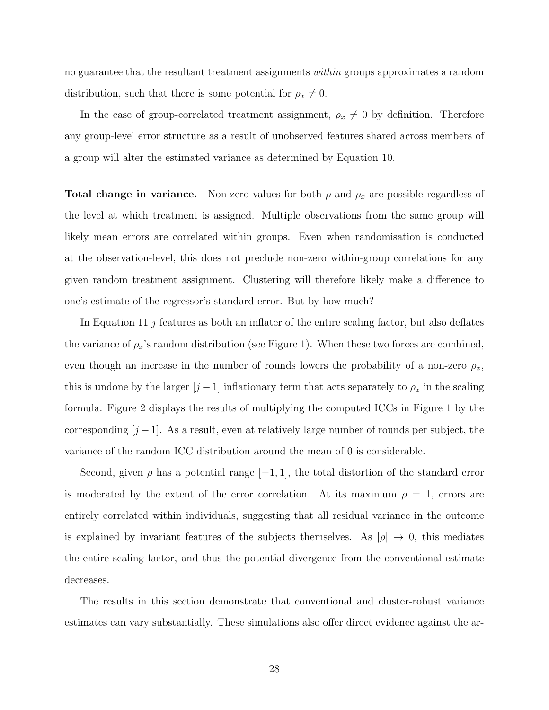no guarantee that the resultant treatment assignments within groups approximates a random distribution, such that there is some potential for  $\rho_x \neq 0$ .

In the case of group-correlated treatment assignment,  $\rho_x \neq 0$  by definition. Therefore any group-level error structure as a result of unobserved features shared across members of a group will alter the estimated variance as determined by Equation [10.](#page-22-0)

**Total change in variance.** Non-zero values for both  $\rho$  and  $\rho_x$  are possible regardless of the level at which treatment is assigned. Multiple observations from the same group will likely mean errors are correlated within groups. Even when randomisation is conducted at the observation-level, this does not preclude non-zero within-group correlations for any given random treatment assignment. Clustering will therefore likely make a difference to one's estimate of the regressor's standard error. But by how much?

In Equation [11](#page-23-3) j features as both an inflater of the entire scaling factor, but also deflates the variance of  $\rho_x$ 's random distribution (see Figure [1\)](#page-26-0). When these two forces are combined, even though an increase in the number of rounds lowers the probability of a non-zero  $\rho_x$ , this is undone by the larger  $[j-1]$  inflationary term that acts separately to  $\rho_x$  in the scaling formula. Figure [2](#page-28-1) displays the results of multiplying the computed ICCs in Figure [1](#page-26-0) by the corresponding  $[j-1]$ . As a result, even at relatively large number of rounds per subject, the variance of the random ICC distribution around the mean of 0 is considerable.

Second, given  $\rho$  has a potential range  $[-1, 1]$ , the total distortion of the standard error is moderated by the extent of the error correlation. At its maximum  $\rho = 1$ , errors are entirely correlated within individuals, suggesting that all residual variance in the outcome is explained by invariant features of the subjects themselves. As  $|\rho| \to 0$ , this mediates the entire scaling factor, and thus the potential divergence from the conventional estimate decreases.

The results in this section demonstrate that conventional and cluster-robust variance estimates can vary substantially. These simulations also offer direct evidence against the ar-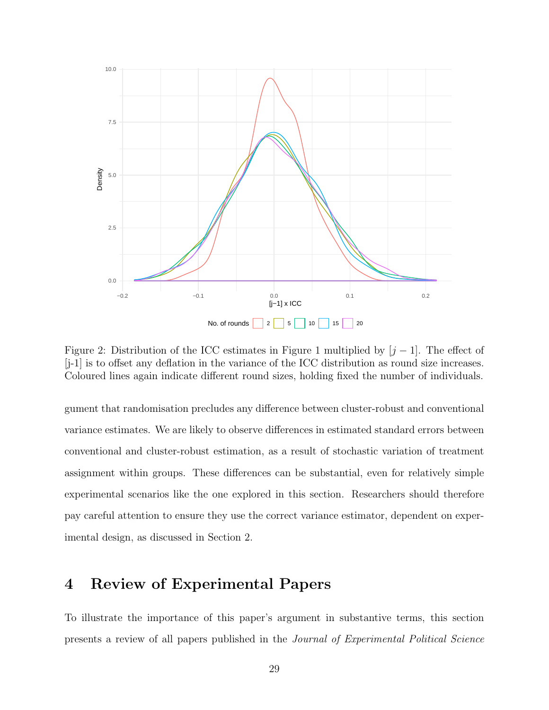<span id="page-28-1"></span>

Figure 2: Distribution of the ICC estimates in Figure [1](#page-26-0) multiplied by  $[j-1]$ . The effect of [j-1] is to offset any deflation in the variance of the ICC distribution as round size increases. Coloured lines again indicate different round sizes, holding fixed the number of individuals.

gument that randomisation precludes any difference between cluster-robust and conventional variance estimates. We are likely to observe differences in estimated standard errors between conventional and cluster-robust estimation, as a result of stochastic variation of treatment assignment within groups. These differences can be substantial, even for relatively simple experimental scenarios like the one explored in this section. Researchers should therefore pay careful attention to ensure they use the correct variance estimator, dependent on experimental design, as discussed in Section [2.](#page-9-0)

### <span id="page-28-0"></span>4 Review of Experimental Papers

To illustrate the importance of this paper's argument in substantive terms, this section presents a review of all papers published in the Journal of Experimental Political Science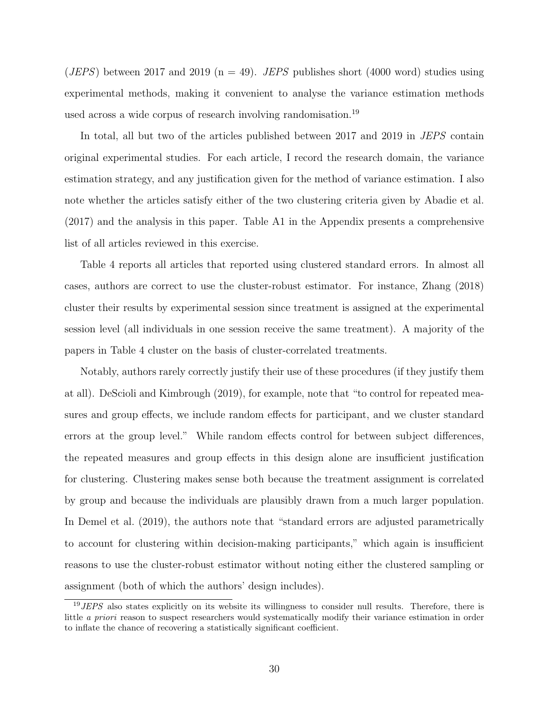(*JEPS*) between 2017 and 2019 ( $n = 49$ ). *JEPS* publishes short (4000 word) studies using experimental methods, making it convenient to analyse the variance estimation methods used across a wide corpus of research involving randomisation.[19](#page-29-0)

In total, all but two of the articles published between 2017 and 2019 in JEPS contain original experimental studies. For each article, I record the research domain, the variance estimation strategy, and any justification given for the method of variance estimation. I also note whether the articles satisfy either of the two clustering criteria given by [Abadie et al.](#page-41-2) [\(2017\)](#page-41-2) and the analysis in this paper. Table A1 in the Appendix presents a comprehensive list of all articles reviewed in this exercise.

Table [4](#page-30-0) reports all articles that reported using clustered standard errors. In almost all cases, authors are correct to use the cluster-robust estimator. For instance, [Zhang](#page-46-4) [\(2018\)](#page-46-4) cluster their results by experimental session since treatment is assigned at the experimental session level (all individuals in one session receive the same treatment). A majority of the papers in Table [4](#page-30-0) cluster on the basis of cluster-correlated treatments.

Notably, authors rarely correctly justify their use of these procedures (if they justify them at all). [DeScioli and Kimbrough](#page-42-3) [\(2019\)](#page-42-3), for example, note that "to control for repeated measures and group effects, we include random effects for participant, and we cluster standard errors at the group level." While random effects control for between subject differences, the repeated measures and group effects in this design alone are insufficient justification for clustering. Clustering makes sense both because the treatment assignment is correlated by group and because the individuals are plausibly drawn from a much larger population. In [Demel et al.](#page-42-4) [\(2019\)](#page-42-4), the authors note that "standard errors are adjusted parametrically to account for clustering within decision-making participants," which again is insufficient reasons to use the cluster-robust estimator without noting either the clustered sampling or assignment (both of which the authors' design includes).

<span id="page-29-0"></span><sup>&</sup>lt;sup>19</sup>JEPS also states explicitly on its website its willingness to consider null results. Therefore, there is little a priori reason to suspect researchers would systematically modify their variance estimation in order to inflate the chance of recovering a statistically significant coefficient.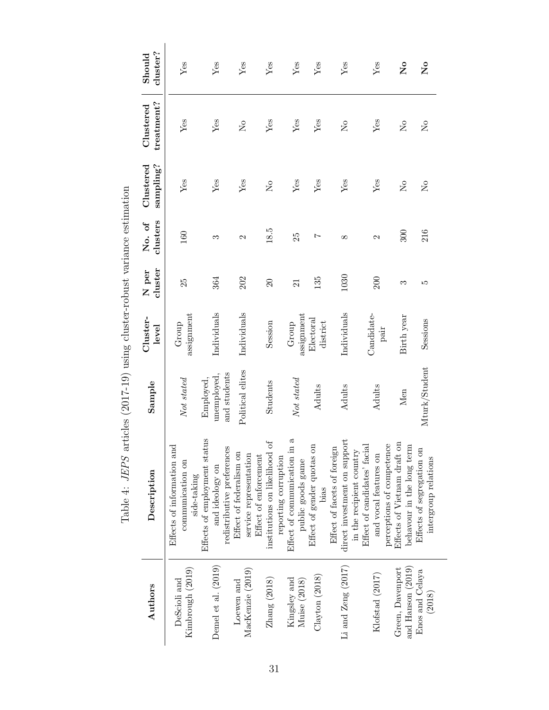<span id="page-30-0"></span>

| $\ddot{\phantom{a}}$                                                        |
|-----------------------------------------------------------------------------|
| ֖֖֖֖֖֖ׅ֖֖֖֧ׅ֖֧֖֖֧֪ׅ֖֧ׅ֧֧֪֧֚֚֚֚֚֚֚֚֚֚֚֚֚֚֚֚֚֚֚֚֚֚֚֚֚֚֚֚֚֚֚֚֚֚֚֡֬֝֝֞֝֬֝֬֞֝֬֝֬ |
| くちゅうしょう こうしょう しょうしゅう しょうしょう こうしょう こうしょう うちょうしょう<br>I                        |
| ١<br>i<br>2                                                                 |
| $\frac{1}{1}$<br>I<br>I<br>$\ddot{\phantom{a}}$                             |
| ֧֦֧֦֕                                                                       |
| くーーー                                                                        |
| )<br>}<br>}<br>.<br>.<br>!<br>l                                             |

| Sample<br>Effects of information and    |
|-----------------------------------------|
| Not stated                              |
| and students<br>unemployed.<br>Employed |
| Political elites                        |
|                                         |
| Not stated                              |
|                                         |
|                                         |
|                                         |
|                                         |
| Mturk/Student                           |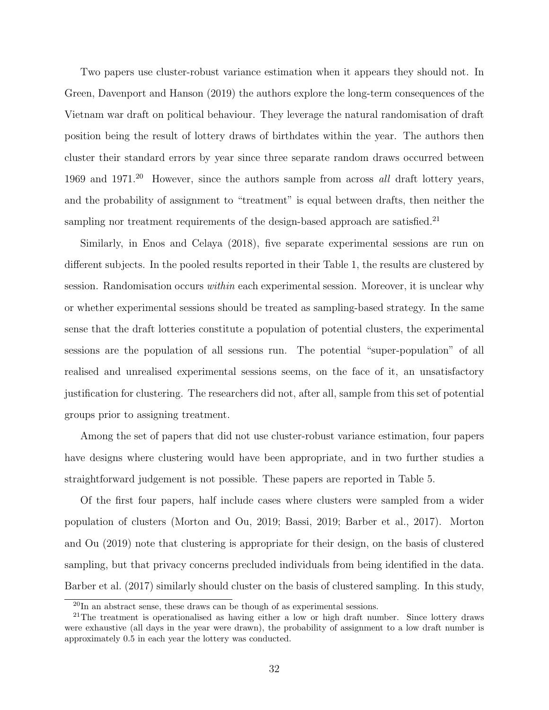Two papers use cluster-robust variance estimation when it appears they should not. In [Green, Davenport and Hanson](#page-43-6) [\(2019\)](#page-43-6) the authors explore the long-term consequences of the Vietnam war draft on political behaviour. They leverage the natural randomisation of draft position being the result of lottery draws of birthdates within the year. The authors then cluster their standard errors by year since three separate random draws occurred between 1969 and  $1971<sup>20</sup>$  $1971<sup>20</sup>$  $1971<sup>20</sup>$  However, since the authors sample from across all draft lottery years, and the probability of assignment to "treatment" is equal between drafts, then neither the sampling nor treatment requirements of the design-based approach are satisfied.<sup>[21](#page-31-1)</sup>

Similarly, in [Enos and Celaya](#page-43-7) [\(2018\)](#page-43-7), five separate experimental sessions are run on different subjects. In the pooled results reported in their Table 1, the results are clustered by session. Randomisation occurs within each experimental session. Moreover, it is unclear why or whether experimental sessions should be treated as sampling-based strategy. In the same sense that the draft lotteries constitute a population of potential clusters, the experimental sessions are the population of all sessions run. The potential "super-population" of all realised and unrealised experimental sessions seems, on the face of it, an unsatisfactory justification for clustering. The researchers did not, after all, sample from this set of potential groups prior to assigning treatment.

Among the set of papers that did not use cluster-robust variance estimation, four papers have designs where clustering would have been appropriate, and in two further studies a straightforward judgement is not possible. These papers are reported in Table [5.](#page-32-0)

Of the first four papers, half include cases where clusters were sampled from a wider population of clusters [\(Morton and Ou, 2019;](#page-45-6) [Bassi, 2019;](#page-41-5) [Barber et al., 2017\)](#page-41-6). [Morton](#page-45-6) [and Ou](#page-45-6) [\(2019\)](#page-45-6) note that clustering is appropriate for their design, on the basis of clustered sampling, but that privacy concerns precluded individuals from being identified in the data. [Barber et al.](#page-41-6) [\(2017\)](#page-41-6) similarly should cluster on the basis of clustered sampling. In this study,

<span id="page-31-1"></span><span id="page-31-0"></span> $^{20}$ In an abstract sense, these draws can be though of as experimental sessions.

<sup>&</sup>lt;sup>21</sup>The treatment is operationalised as having either a low or high draft number. Since lottery draws were exhaustive (all days in the year were drawn), the probability of assignment to a low draft number is approximately 0.5 in each year the lottery was conducted.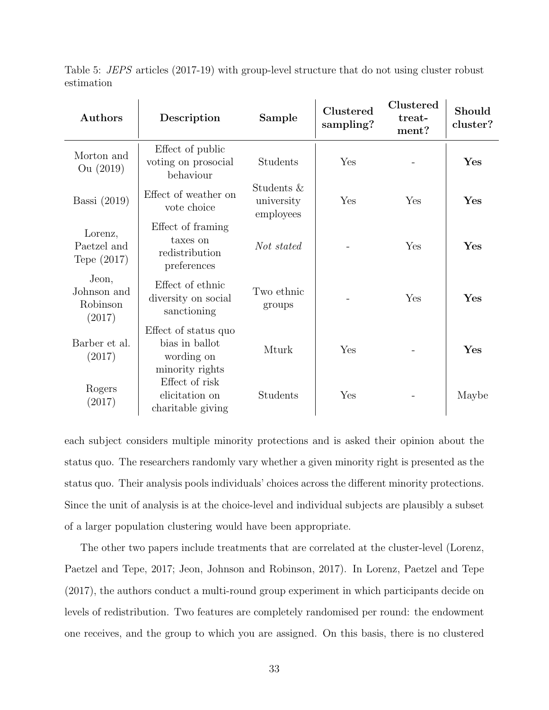<span id="page-32-0"></span>

| Authors                                    | Description                                                             | Sample                                | Clustered<br>sampling? | Clustered<br>treat-<br>ment? | Should<br>cluster? |
|--------------------------------------------|-------------------------------------------------------------------------|---------------------------------------|------------------------|------------------------------|--------------------|
| Morton and<br>Ou (2019)                    | Effect of public<br>voting on prosocial<br>behaviour                    | Students                              | Yes                    |                              | Yes                |
| Bassi $(2019)$                             | Effect of weather on<br>vote choice                                     | Students &<br>university<br>employees | Yes                    | Yes                          | Yes                |
| Lorenz,<br>Paetzel and<br>Tepe $(2017)$    | Effect of framing<br>taxes on<br>redistribution<br>preferences          | Not stated                            |                        | Yes                          | Yes                |
| Jeon,<br>Johnson and<br>Robinson<br>(2017) | Effect of ethnic<br>diversity on social<br>sanctioning                  | Two ethnic<br>groups                  |                        | Yes                          | Yes                |
| Barber et al.<br>(2017)                    | Effect of status quo<br>bias in ballot<br>wording on<br>minority rights | Mturk                                 | Yes                    |                              | Yes                |
| Rogers<br>(2017)                           | Effect of risk<br>elicitation on<br>charitable giving                   | Students                              | Yes                    |                              | Maybe              |

Table 5: JEPS articles (2017-19) with group-level structure that do not using cluster robust estimation

each subject considers multiple minority protections and is asked their opinion about the status quo. The researchers randomly vary whether a given minority right is presented as the status quo. Their analysis pools individuals' choices across the different minority protections. Since the unit of analysis is at the choice-level and individual subjects are plausibly a subset of a larger population clustering would have been appropriate.

The other two papers include treatments that are correlated at the cluster-level [\(Lorenz,](#page-45-7) [Paetzel and Tepe, 2017;](#page-45-7) [Jeon, Johnson and Robinson, 2017\)](#page-44-5). In [Lorenz, Paetzel and Tepe](#page-45-7) [\(2017\)](#page-45-7), the authors conduct a multi-round group experiment in which participants decide on levels of redistribution. Two features are completely randomised per round: the endowment one receives, and the group to which you are assigned. On this basis, there is no clustered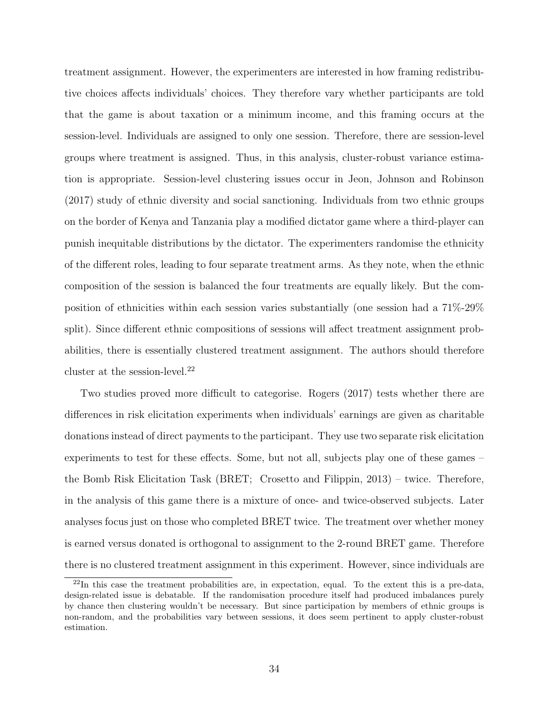treatment assignment. However, the experimenters are interested in how framing redistributive choices affects individuals' choices. They therefore vary whether participants are told that the game is about taxation or a minimum income, and this framing occurs at the session-level. Individuals are assigned to only one session. Therefore, there are session-level groups where treatment is assigned. Thus, in this analysis, cluster-robust variance estimation is appropriate. Session-level clustering issues occur in [Jeon, Johnson and Robinson](#page-44-5) [\(2017\)](#page-44-5) study of ethnic diversity and social sanctioning. Individuals from two ethnic groups on the border of Kenya and Tanzania play a modified dictator game where a third-player can punish inequitable distributions by the dictator. The experimenters randomise the ethnicity of the different roles, leading to four separate treatment arms. As they note, when the ethnic composition of the session is balanced the four treatments are equally likely. But the composition of ethnicities within each session varies substantially (one session had a 71%-29% split). Since different ethnic compositions of sessions will affect treatment assignment probabilities, there is essentially clustered treatment assignment. The authors should therefore cluster at the session-level. $^{22}$  $^{22}$  $^{22}$ 

Two studies proved more difficult to categorise. [Rogers](#page-45-8) [\(2017\)](#page-45-8) tests whether there are differences in risk elicitation experiments when individuals' earnings are given as charitable donations instead of direct payments to the participant. They use two separate risk elicitation experiments to test for these effects. Some, but not all, subjects play one of these games – the Bomb Risk Elicitation Task (BRET; [Crosetto and Filippin, 2013\)](#page-42-6) – twice. Therefore, in the analysis of this game there is a mixture of once- and twice-observed subjects. Later analyses focus just on those who completed BRET twice. The treatment over whether money is earned versus donated is orthogonal to assignment to the 2-round BRET game. Therefore there is no clustered treatment assignment in this experiment. However, since individuals are

<span id="page-33-0"></span><sup>22</sup>In this case the treatment probabilities are, in expectation, equal. To the extent this is a pre-data, design-related issue is debatable. If the randomisation procedure itself had produced imbalances purely by chance then clustering wouldn't be necessary. But since participation by members of ethnic groups is non-random, and the probabilities vary between sessions, it does seem pertinent to apply cluster-robust estimation.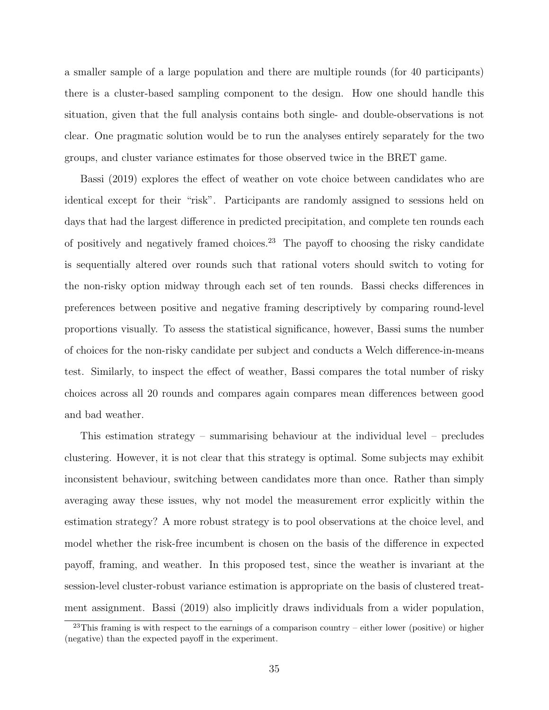a smaller sample of a large population and there are multiple rounds (for 40 participants) there is a cluster-based sampling component to the design. How one should handle this situation, given that the full analysis contains both single- and double-observations is not clear. One pragmatic solution would be to run the analyses entirely separately for the two groups, and cluster variance estimates for those observed twice in the BRET game.

[Bassi](#page-41-5) [\(2019\)](#page-41-5) explores the effect of weather on vote choice between candidates who are identical except for their "risk". Participants are randomly assigned to sessions held on days that had the largest difference in predicted precipitation, and complete ten rounds each of positively and negatively framed choices.<sup>[23](#page-34-0)</sup> The payoff to choosing the risky candidate is sequentially altered over rounds such that rational voters should switch to voting for the non-risky option midway through each set of ten rounds. Bassi checks differences in preferences between positive and negative framing descriptively by comparing round-level proportions visually. To assess the statistical significance, however, Bassi sums the number of choices for the non-risky candidate per subject and conducts a Welch difference-in-means test. Similarly, to inspect the effect of weather, Bassi compares the total number of risky choices across all 20 rounds and compares again compares mean differences between good and bad weather.

This estimation strategy – summarising behaviour at the individual level – precludes clustering. However, it is not clear that this strategy is optimal. Some subjects may exhibit inconsistent behaviour, switching between candidates more than once. Rather than simply averaging away these issues, why not model the measurement error explicitly within the estimation strategy? A more robust strategy is to pool observations at the choice level, and model whether the risk-free incumbent is chosen on the basis of the difference in expected payoff, framing, and weather. In this proposed test, since the weather is invariant at the session-level cluster-robust variance estimation is appropriate on the basis of clustered treatment assignment. [Bassi](#page-41-5) [\(2019\)](#page-41-5) also implicitly draws individuals from a wider population,

<span id="page-34-0"></span><sup>&</sup>lt;sup>23</sup>This framing is with respect to the earnings of a comparison country – either lower (positive) or higher (negative) than the expected payoff in the experiment.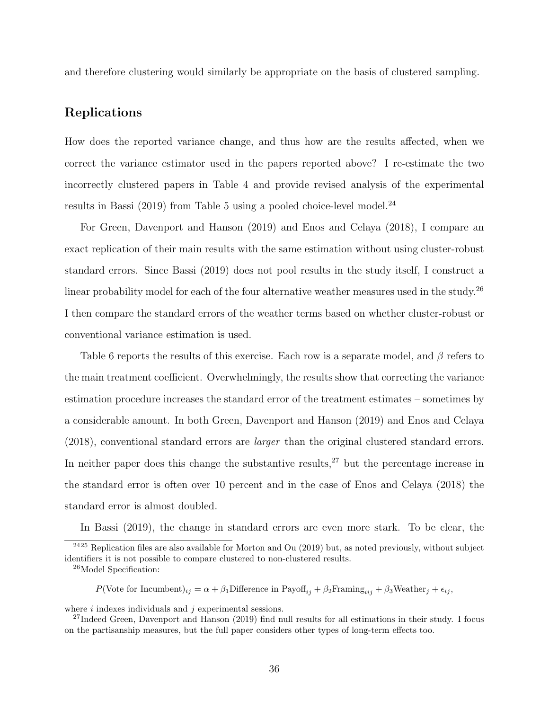and therefore clustering would similarly be appropriate on the basis of clustered sampling.

#### Replications

How does the reported variance change, and thus how are the results affected, when we correct the variance estimator used in the papers reported above? I re-estimate the two incorrectly clustered papers in Table [4](#page-30-0) and provide revised analysis of the experimental results in [Bassi](#page-41-5)  $(2019)$  from Table [5](#page-32-0) using a pooled choice-level model.<sup>[24](#page-35-0)</sup>

For [Green, Davenport and Hanson](#page-43-6) [\(2019\)](#page-43-6) and [Enos and Celaya](#page-43-7) [\(2018\)](#page-43-7), I compare an exact replication of their main results with the same estimation without using cluster-robust standard errors. Since [Bassi](#page-41-5) [\(2019\)](#page-41-5) does not pool results in the study itself, I construct a linear probability model for each of the four alternative weather measures used in the study.<sup>[26](#page-35-1)</sup> I then compare the standard errors of the weather terms based on whether cluster-robust or conventional variance estimation is used.

Table [6](#page-36-0) reports the results of this exercise. Each row is a separate model, and  $\beta$  refers to the main treatment coefficient. Overwhelmingly, the results show that correcting the variance estimation procedure increases the standard error of the treatment estimates – sometimes by a considerable amount. In both [Green, Davenport and Hanson](#page-43-6) [\(2019\)](#page-43-6) and [Enos and Celaya](#page-43-7) [\(2018\)](#page-43-7), conventional standard errors are larger than the original clustered standard errors. In neither paper does this change the substantive results, $27$  but the percentage increase in the standard error is often over 10 percent and in the case of [Enos and Celaya](#page-43-7) [\(2018\)](#page-43-7) the standard error is almost doubled.

<span id="page-35-0"></span>In [Bassi](#page-41-5) [\(2019\)](#page-41-5), the change in standard errors are even more stark. To be clear, the  $2425$  $2425$  Replication files are also available for [Morton and Ou](#page-45-6) [\(2019\)](#page-45-6) but, as noted previously, without subject

P(Vote for Incumbent) $_{ij} = \alpha + \beta_1$ Difference in Payoff $_{ij} + \beta_2$ Framing $_{iij} + \beta_3$ Weather $_j + \epsilon_{ij}$ ,

where  $i$  indexes individuals and  $j$  experimental sessions.

identifiers it is not possible to compare clustered to non-clustered results.

<span id="page-35-1"></span><sup>26</sup>Model Specification:

<span id="page-35-2"></span><sup>&</sup>lt;sup>27</sup>Indeed [Green, Davenport and Hanson](#page-43-6) [\(2019\)](#page-43-6) find null results for all estimations in their study. I focus on the partisanship measures, but the full paper considers other types of long-term effects too.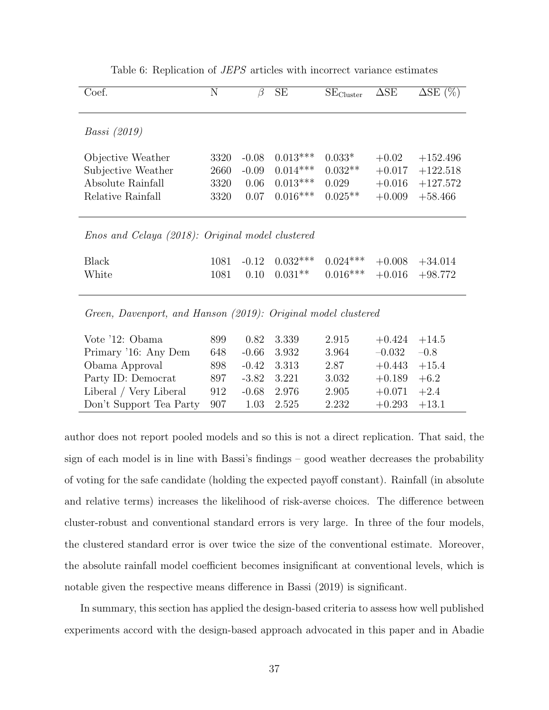<span id="page-36-0"></span>

| Coef.                                                         | N    | $\beta$   | <b>SE</b>  | $SE_{Cluster}$ | $\Delta SE$ | $\Delta SE(%)$    |
|---------------------------------------------------------------|------|-----------|------------|----------------|-------------|-------------------|
| <i>Bassi (2019)</i>                                           |      |           |            |                |             |                   |
| Objective Weather                                             | 3320 | $-0.08$   | $0.013***$ | $0.033*$       | $+0.02$     | $+152.496$        |
| Subjective Weather                                            | 2660 | $-0.09$   | $0.014***$ | $0.032**$      | $+0.017$    | $+122.518$        |
| Absolute Rainfall                                             | 3320 | 0.06      | $0.013***$ | 0.029          | $+0.016$    | $+127.572$        |
| Relative Rainfall                                             | 3320 | 0.07      | $0.016***$ | $0.025**$      | $+0.009$    | $+58.466$         |
|                                                               |      |           |            |                |             |                   |
| <i>Enos and Celaya (2018): Original model clustered</i>       |      |           |            |                |             |                   |
| <b>Black</b>                                                  | 1081 | $-0.12$   | $0.032***$ | $0.024***$     | $+0.008$    | $+34.014$         |
| White                                                         | 1081 | 0.10      | $0.031**$  | $0.016***$     | $+0.016$    | $+98.772$         |
| Green, Davenport, and Hanson (2019): Original model clustered |      |           |            |                |             |                   |
| Vote '12: Obama                                               | 899  | 0.82      | 3.339      | 2.915          | $+0.424$    | $+14.5$           |
| $Primary$ <sup>16.</sup> Apy Dom                              | 648  | $\cap$ 66 | -3.039     | 3.064          | _∩ ∩ദാ      | $\Box$ 0 $\Omega$ |

Table 6: Replication of JEPS articles with incorrect variance estimates

| Vote 12: Obama                           | 899  |                 | U.82 3.339    | -2.915 | $+0.424 +14.5$ |        |  |
|------------------------------------------|------|-----------------|---------------|--------|----------------|--------|--|
| Primary '16: Any Dem                     | 648  |                 | $-0.66$ 3.932 | 3.964  | $-0.032$       | $-0.8$ |  |
| Obama Approval                           | 898. | $-0.42$ 3.313   |               | 2.87   | $+0.443 +15.4$ |        |  |
| Party ID: Democrat                       | 897. | $-3.82$ $3.221$ |               | 3.032  | $+0.189 +6.2$  |        |  |
| Liberal / Very Liberal                   | 912  |                 | $-0.68$ 2.976 | 2.905  | $+0.071 +2.4$  |        |  |
| Don't Support Tea Party $907$ 1.03 2.525 |      |                 |               | 2.232  | $+0.293 +13.1$ |        |  |
|                                          |      |                 |               |        |                |        |  |

author does not report pooled models and so this is not a direct replication. That said, the sign of each model is in line with Bassi's findings – good weather decreases the probability of voting for the safe candidate (holding the expected payoff constant). Rainfall (in absolute and relative terms) increases the likelihood of risk-averse choices. The difference between cluster-robust and conventional standard errors is very large. In three of the four models, the clustered standard error is over twice the size of the conventional estimate. Moreover, the absolute rainfall model coefficient becomes insignificant at conventional levels, which is notable given the respective means difference in [Bassi](#page-41-5) [\(2019\)](#page-41-5) is significant.

In summary, this section has applied the design-based criteria to assess how well published experiments accord with the design-based approach advocated in this paper and in [Abadie](#page-41-2)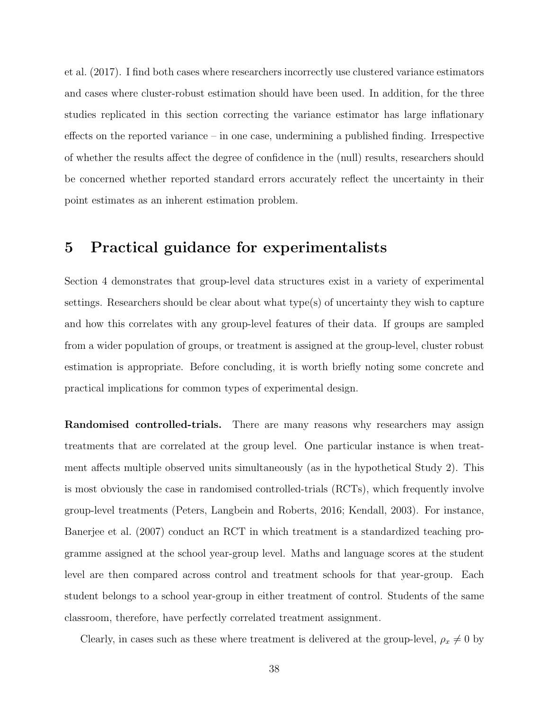[et al.](#page-41-2) [\(2017\)](#page-41-2). I find both cases where researchers incorrectly use clustered variance estimators and cases where cluster-robust estimation should have been used. In addition, for the three studies replicated in this section correcting the variance estimator has large inflationary effects on the reported variance – in one case, undermining a published finding. Irrespective of whether the results affect the degree of confidence in the (null) results, researchers should be concerned whether reported standard errors accurately reflect the uncertainty in their point estimates as an inherent estimation problem.

### <span id="page-37-0"></span>5 Practical guidance for experimentalists

Section [4](#page-28-0) demonstrates that group-level data structures exist in a variety of experimental settings. Researchers should be clear about what type(s) of uncertainty they wish to capture and how this correlates with any group-level features of their data. If groups are sampled from a wider population of groups, or treatment is assigned at the group-level, cluster robust estimation is appropriate. Before concluding, it is worth briefly noting some concrete and practical implications for common types of experimental design.

Randomised controlled-trials. There are many reasons why researchers may assign treatments that are correlated at the group level. One particular instance is when treatment affects multiple observed units simultaneously (as in the hypothetical Study 2). This is most obviously the case in randomised controlled-trials (RCTs), which frequently involve group-level treatments [\(Peters, Langbein and Roberts, 2016;](#page-45-9) [Kendall, 2003\)](#page-44-6). For instance, [Banerjee et al.](#page-41-7) [\(2007\)](#page-41-7) conduct an RCT in which treatment is a standardized teaching programme assigned at the school year-group level. Maths and language scores at the student level are then compared across control and treatment schools for that year-group. Each student belongs to a school year-group in either treatment of control. Students of the same classroom, therefore, have perfectly correlated treatment assignment.

Clearly, in cases such as these where treatment is delivered at the group-level,  $\rho_x \neq 0$  by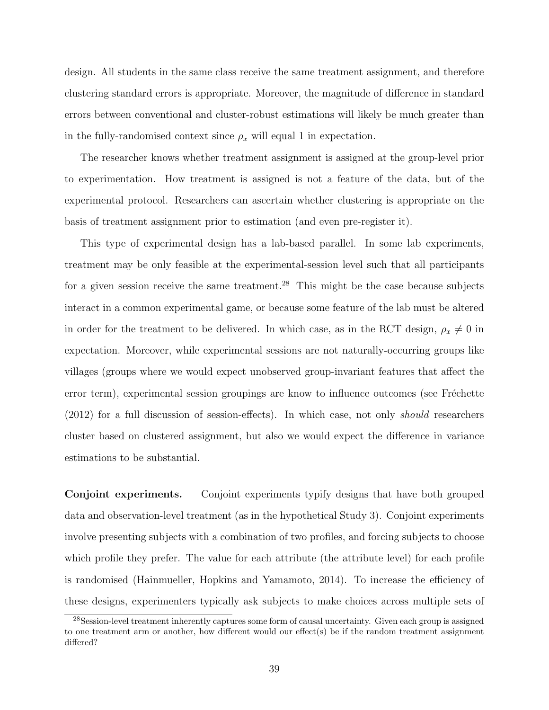design. All students in the same class receive the same treatment assignment, and therefore clustering standard errors is appropriate. Moreover, the magnitude of difference in standard errors between conventional and cluster-robust estimations will likely be much greater than in the fully-randomised context since  $\rho_x$  will equal 1 in expectation.

The researcher knows whether treatment assignment is assigned at the group-level prior to experimentation. How treatment is assigned is not a feature of the data, but of the experimental protocol. Researchers can ascertain whether clustering is appropriate on the basis of treatment assignment prior to estimation (and even pre-register it).

This type of experimental design has a lab-based parallel. In some lab experiments, treatment may be only feasible at the experimental-session level such that all participants for a given session receive the same treatment.<sup>[28](#page-38-0)</sup> This might be the case because subjects interact in a common experimental game, or because some feature of the lab must be altered in order for the treatment to be delivered. In which case, as in the RCT design,  $\rho_x \neq 0$  in expectation. Moreover, while experimental sessions are not naturally-occurring groups like villages (groups where we would expect unobserved group-invariant features that affect the error term), experimental session groupings are know to influence outcomes (see Fréchette [\(2012\)](#page-43-8) for a full discussion of session-effects). In which case, not only should researchers cluster based on clustered assignment, but also we would expect the difference in variance estimations to be substantial.

Conjoint experiments. Conjoint experiments typify designs that have both grouped data and observation-level treatment (as in the hypothetical Study 3). Conjoint experiments involve presenting subjects with a combination of two profiles, and forcing subjects to choose which profile they prefer. The value for each attribute (the attribute level) for each profile is randomised [\(Hainmueller, Hopkins and Yamamoto, 2014\)](#page-43-9). To increase the efficiency of these designs, experimenters typically ask subjects to make choices across multiple sets of

<span id="page-38-0"></span><sup>28</sup>Session-level treatment inherently captures some form of causal uncertainty. Given each group is assigned to one treatment arm or another, how different would our effect(s) be if the random treatment assignment differed?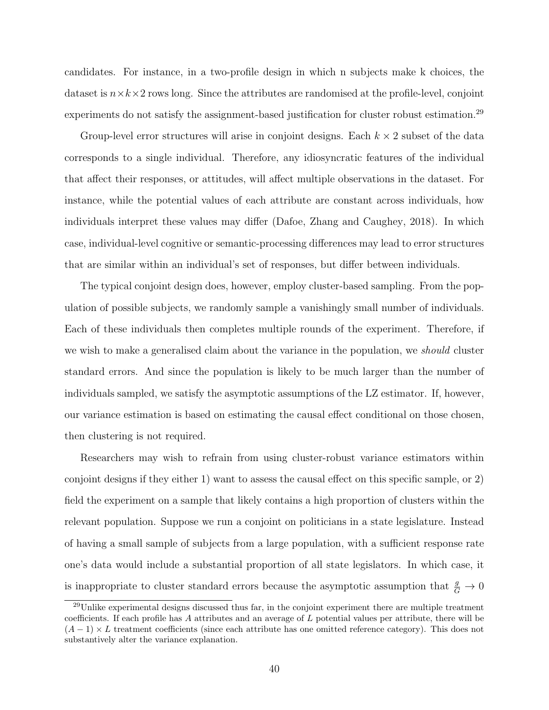candidates. For instance, in a two-profile design in which n subjects make k choices, the dataset is  $n \times k \times 2$  rows long. Since the attributes are randomised at the profile-level, conjoint experiments do not satisfy the assignment-based justification for cluster robust estimation.<sup>[29](#page-39-0)</sup>

Group-level error structures will arise in conjoint designs. Each  $k \times 2$  subset of the data corresponds to a single individual. Therefore, any idiosyncratic features of the individual that affect their responses, or attitudes, will affect multiple observations in the dataset. For instance, while the potential values of each attribute are constant across individuals, how individuals interpret these values may differ [\(Dafoe, Zhang and Caughey, 2018\)](#page-42-7). In which case, individual-level cognitive or semantic-processing differences may lead to error structures that are similar within an individual's set of responses, but differ between individuals.

The typical conjoint design does, however, employ cluster-based sampling. From the population of possible subjects, we randomly sample a vanishingly small number of individuals. Each of these individuals then completes multiple rounds of the experiment. Therefore, if we wish to make a generalised claim about the variance in the population, we should cluster standard errors. And since the population is likely to be much larger than the number of individuals sampled, we satisfy the asymptotic assumptions of the LZ estimator. If, however, our variance estimation is based on estimating the causal effect conditional on those chosen, then clustering is not required.

Researchers may wish to refrain from using cluster-robust variance estimators within conjoint designs if they either 1) want to assess the causal effect on this specific sample, or 2) field the experiment on a sample that likely contains a high proportion of clusters within the relevant population. Suppose we run a conjoint on politicians in a state legislature. Instead of having a small sample of subjects from a large population, with a sufficient response rate one's data would include a substantial proportion of all state legislators. In which case, it is inappropriate to cluster standard errors because the asymptotic assumption that  $\frac{g}{G} \to 0$ 

<span id="page-39-0"></span><sup>29</sup>Unlike experimental designs discussed thus far, in the conjoint experiment there are multiple treatment coefficients. If each profile has A attributes and an average of L potential values per attribute, there will be  $(A-1) \times L$  treatment coefficients (since each attribute has one omitted reference category). This does not substantively alter the variance explanation.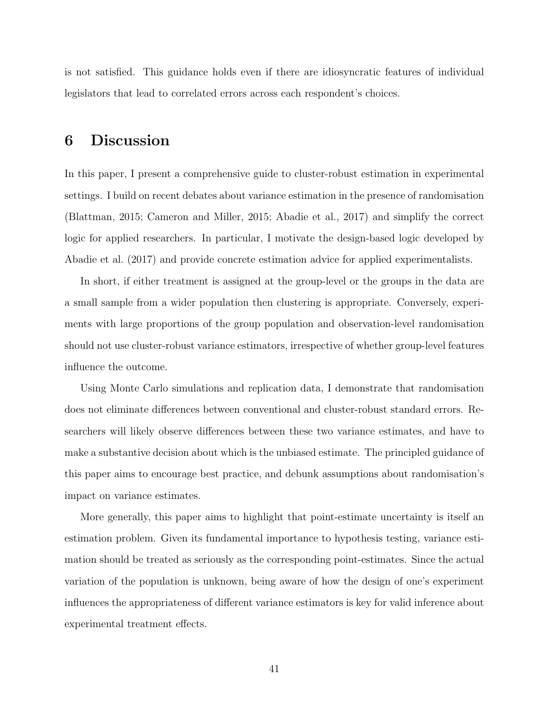is not satisfied. This guidance holds even if there are idiosyncratic features of individual legislators that lead to correlated errors across each respondent's choices.

### 6 Discussion

In this paper, I present a comprehensive guide to cluster-robust estimation in experimental settings. I build on recent debates about variance estimation in the presence of randomisation [\(Blattman, 2015;](#page-41-0) [Cameron and Miller, 2015;](#page-42-1) [Abadie et al., 2017\)](#page-41-2) and simplify the correct logic for applied researchers. In particular, I motivate the design-based logic developed by [Abadie et al.](#page-41-2) [\(2017\)](#page-41-2) and provide concrete estimation advice for applied experimentalists.

In short, if either treatment is assigned at the group-level or the groups in the data are a small sample from a wider population then clustering is appropriate. Conversely, experiments with large proportions of the group population and observation-level randomisation should not use cluster-robust variance estimators, irrespective of whether group-level features influence the outcome.

Using Monte Carlo simulations and replication data, I demonstrate that randomisation does not eliminate differences between conventional and cluster-robust standard errors. Researchers will likely observe differences between these two variance estimates, and have to make a substantive decision about which is the unbiased estimate. The principled guidance of this paper aims to encourage best practice, and debunk assumptions about randomisation's impact on variance estimates.

More generally, this paper aims to highlight that point-estimate uncertainty is itself an estimation problem. Given its fundamental importance to hypothesis testing, variance estimation should be treated as seriously as the corresponding point-estimates. Since the actual variation of the population is unknown, being aware of how the design of one's experiment influences the appropriateness of different variance estimators is key for valid inference about experimental treatment effects.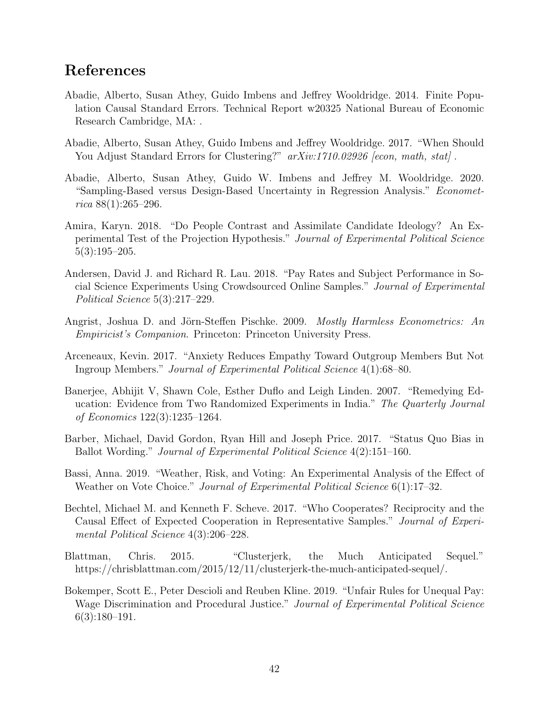### <span id="page-41-14"></span><span id="page-41-13"></span><span id="page-41-12"></span><span id="page-41-11"></span><span id="page-41-10"></span><span id="page-41-9"></span><span id="page-41-8"></span>References

- <span id="page-41-3"></span>Abadie, Alberto, Susan Athey, Guido Imbens and Jeffrey Wooldridge. 2014. Finite Population Causal Standard Errors. Technical Report w20325 National Bureau of Economic Research Cambridge, MA: .
- <span id="page-41-2"></span>Abadie, Alberto, Susan Athey, Guido Imbens and Jeffrey Wooldridge. 2017. "When Should You Adjust Standard Errors for Clustering?"  $arXiv:1710.02926$  [econ, math, stat].
- <span id="page-41-1"></span>Abadie, Alberto, Susan Athey, Guido W. Imbens and Jeffrey M. Wooldridge. 2020. "Sampling-Based versus Design-Based Uncertainty in Regression Analysis." Economet $rica 88(1):265-296.$
- Amira, Karyn. 2018. "Do People Contrast and Assimilate Candidate Ideology? An Experimental Test of the Projection Hypothesis." Journal of Experimental Political Science 5(3):195–205.
- Andersen, David J. and Richard R. Lau. 2018. "Pay Rates and Subject Performance in Social Science Experiments Using Crowdsourced Online Samples." Journal of Experimental Political Science 5(3):217–229.
- <span id="page-41-4"></span>Angrist, Joshua D. and Jörn-Steffen Pischke. 2009. Mostly Harmless Econometrics: An Empiricist's Companion. Princeton: Princeton University Press.
- Arceneaux, Kevin. 2017. "Anxiety Reduces Empathy Toward Outgroup Members But Not Ingroup Members." Journal of Experimental Political Science 4(1):68–80.
- <span id="page-41-7"></span>Banerjee, Abhijit V, Shawn Cole, Esther Duflo and Leigh Linden. 2007. "Remedying Education: Evidence from Two Randomized Experiments in India." The Quarterly Journal of Economics 122(3):1235–1264.
- <span id="page-41-6"></span>Barber, Michael, David Gordon, Ryan Hill and Joseph Price. 2017. "Status Quo Bias in Ballot Wording." Journal of Experimental Political Science 4(2):151–160.
- <span id="page-41-5"></span>Bassi, Anna. 2019. "Weather, Risk, and Voting: An Experimental Analysis of the Effect of Weather on Vote Choice." *Journal of Experimental Political Science* 6(1):17–32.
- Bechtel, Michael M. and Kenneth F. Scheve. 2017. "Who Cooperates? Reciprocity and the Causal Effect of Expected Cooperation in Representative Samples." Journal of Experimental Political Science 4(3):206–228.
- <span id="page-41-0"></span>Blattman, Chris. 2015. "Clusterjerk, the Much Anticipated Sequel." https://chrisblattman.com/2015/12/11/clusterjerk-the-much-anticipated-sequel/.
- Bokemper, Scott E., Peter Descioli and Reuben Kline. 2019. "Unfair Rules for Unequal Pay: Wage Discrimination and Procedural Justice." Journal of Experimental Political Science  $6(3):180-191.$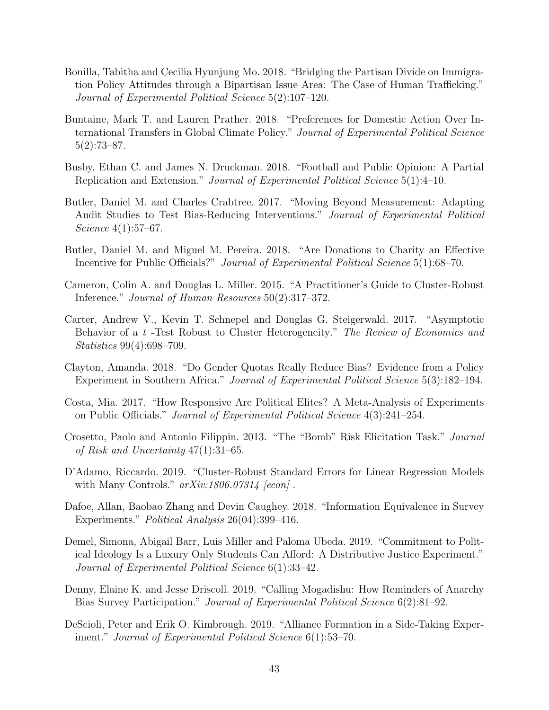- <span id="page-42-17"></span><span id="page-42-16"></span><span id="page-42-15"></span><span id="page-42-14"></span><span id="page-42-13"></span><span id="page-42-12"></span><span id="page-42-11"></span><span id="page-42-10"></span><span id="page-42-9"></span><span id="page-42-8"></span>Bonilla, Tabitha and Cecilia Hyunjung Mo. 2018. "Bridging the Partisan Divide on Immigration Policy Attitudes through a Bipartisan Issue Area: The Case of Human Trafficking." Journal of Experimental Political Science 5(2):107–120.
- Buntaine, Mark T. and Lauren Prather. 2018. "Preferences for Domestic Action Over International Transfers in Global Climate Policy." Journal of Experimental Political Science 5(2):73–87.
- Busby, Ethan C. and James N. Druckman. 2018. "Football and Public Opinion: A Partial Replication and Extension." Journal of Experimental Political Science 5(1):4–10.
- Butler, Daniel M. and Charles Crabtree. 2017. "Moving Beyond Measurement: Adapting Audit Studies to Test Bias-Reducing Interventions." Journal of Experimental Political Science 4(1):57–67.
- Butler, Daniel M. and Miguel M. Pereira. 2018. "Are Donations to Charity an Effective Incentive for Public Officials?" Journal of Experimental Political Science 5(1):68–70.
- <span id="page-42-1"></span>Cameron, Colin A. and Douglas L. Miller. 2015. "A Practitioner's Guide to Cluster-Robust Inference." Journal of Human Resources 50(2):317–372.
- <span id="page-42-2"></span>Carter, Andrew V., Kevin T. Schnepel and Douglas G. Steigerwald. 2017. "Asymptotic Behavior of a t-Test Robust to Cluster Heterogeneity." The Review of Economics and Statistics 99(4):698–709.
- <span id="page-42-5"></span>Clayton, Amanda. 2018. "Do Gender Quotas Really Reduce Bias? Evidence from a Policy Experiment in Southern Africa." Journal of Experimental Political Science 5(3):182–194.
- Costa, Mia. 2017. "How Responsive Are Political Elites? A Meta-Analysis of Experiments on Public Officials." Journal of Experimental Political Science 4(3):241–254.
- <span id="page-42-6"></span>Crosetto, Paolo and Antonio Filippin. 2013. "The "Bomb" Risk Elicitation Task." Journal of Risk and Uncertainty 47(1):31–65.
- <span id="page-42-0"></span>D'Adamo, Riccardo. 2019. "Cluster-Robust Standard Errors for Linear Regression Models with Many Controls."  $arXiv:1806.07314$  [econ].
- <span id="page-42-7"></span>Dafoe, Allan, Baobao Zhang and Devin Caughey. 2018. "Information Equivalence in Survey Experiments." Political Analysis 26(04):399–416.
- <span id="page-42-4"></span>Demel, Simona, Abigail Barr, Luis Miller and Paloma Ubeda. 2019. "Commitment to Political Ideology Is a Luxury Only Students Can Afford: A Distributive Justice Experiment." Journal of Experimental Political Science 6(1):33–42.
- Denny, Elaine K. and Jesse Driscoll. 2019. "Calling Mogadishu: How Reminders of Anarchy Bias Survey Participation." Journal of Experimental Political Science 6(2):81–92.
- <span id="page-42-3"></span>DeScioli, Peter and Erik O. Kimbrough. 2019. "Alliance Formation in a Side-Taking Experiment." Journal of Experimental Political Science 6(1):53–70.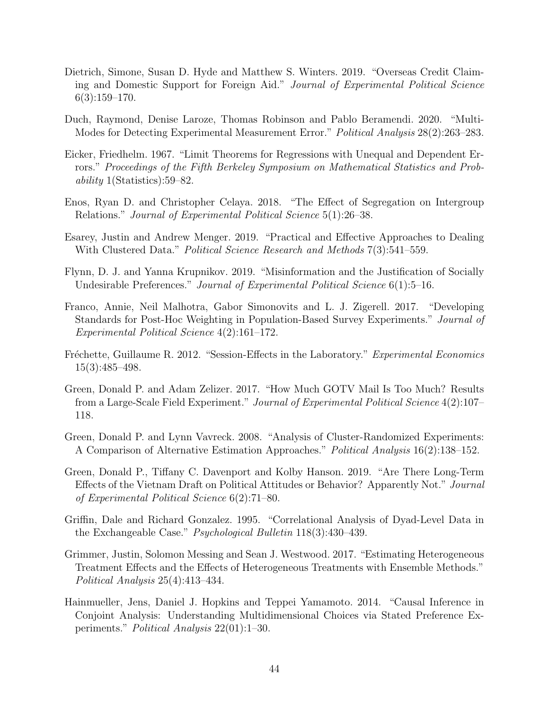- <span id="page-43-15"></span><span id="page-43-14"></span><span id="page-43-13"></span><span id="page-43-12"></span><span id="page-43-11"></span><span id="page-43-10"></span>Dietrich, Simone, Susan D. Hyde and Matthew S. Winters. 2019. "Overseas Credit Claiming and Domestic Support for Foreign Aid." Journal of Experimental Political Science 6(3):159–170.
- <span id="page-43-3"></span>Duch, Raymond, Denise Laroze, Thomas Robinson and Pablo Beramendi. 2020. "Multi-Modes for Detecting Experimental Measurement Error." Political Analysis 28(2):263–283.
- <span id="page-43-0"></span>Eicker, Friedhelm. 1967. "Limit Theorems for Regressions with Unequal and Dependent Errors." Proceedings of the Fifth Berkeley Symposium on Mathematical Statistics and Probability 1(Statistics):59–82.
- <span id="page-43-7"></span>Enos, Ryan D. and Christopher Celaya. 2018. "The Effect of Segregation on Intergroup Relations." Journal of Experimental Political Science 5(1):26–38.
- <span id="page-43-1"></span>Esarey, Justin and Andrew Menger. 2019. "Practical and Effective Approaches to Dealing With Clustered Data." *Political Science Research and Methods* 7(3):541–559.
- Flynn, D. J. and Yanna Krupnikov. 2019. "Misinformation and the Justification of Socially Undesirable Preferences." Journal of Experimental Political Science 6(1):5–16.
- Franco, Annie, Neil Malhotra, Gabor Simonovits and L. J. Zigerell. 2017. "Developing Standards for Post-Hoc Weighting in Population-Based Survey Experiments." Journal of Experimental Political Science 4(2):161–172.
- <span id="page-43-8"></span>Fréchette, Guillaume R. 2012. "Session-Effects in the Laboratory." Experimental Economics 15(3):485–498.
- Green, Donald P. and Adam Zelizer. 2017. "How Much GOTV Mail Is Too Much? Results from a Large-Scale Field Experiment." Journal of Experimental Political Science 4(2):107– 118.
- <span id="page-43-2"></span>Green, Donald P. and Lynn Vavreck. 2008. "Analysis of Cluster-Randomized Experiments: A Comparison of Alternative Estimation Approaches." Political Analysis 16(2):138–152.
- <span id="page-43-6"></span>Green, Donald P., Tiffany C. Davenport and Kolby Hanson. 2019. "Are There Long-Term Effects of the Vietnam Draft on Political Attitudes or Behavior? Apparently Not." Journal of Experimental Political Science 6(2):71–80.
- <span id="page-43-5"></span>Griffin, Dale and Richard Gonzalez. 1995. "Correlational Analysis of Dyad-Level Data in the Exchangeable Case." Psychological Bulletin 118(3):430–439.
- <span id="page-43-4"></span>Grimmer, Justin, Solomon Messing and Sean J. Westwood. 2017. "Estimating Heterogeneous Treatment Effects and the Effects of Heterogeneous Treatments with Ensemble Methods." Political Analysis 25(4):413–434.
- <span id="page-43-9"></span>Hainmueller, Jens, Daniel J. Hopkins and Teppei Yamamoto. 2014. "Causal Inference in Conjoint Analysis: Understanding Multidimensional Choices via Stated Preference Experiments." Political Analysis 22(01):1–30.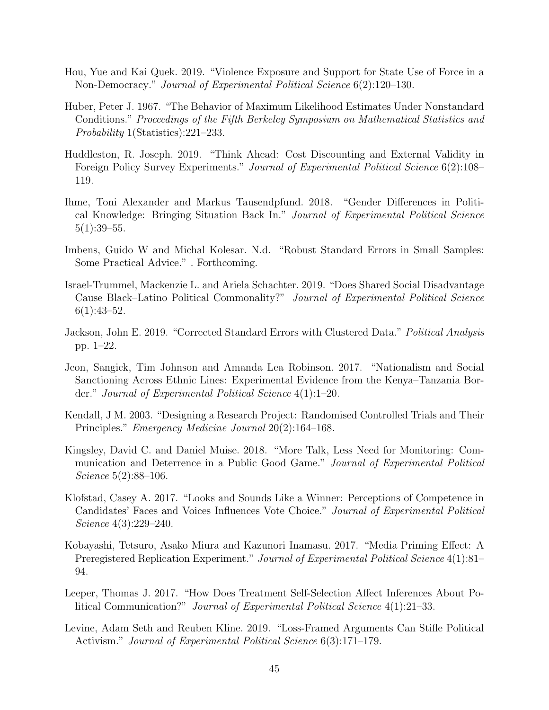- <span id="page-44-16"></span><span id="page-44-15"></span><span id="page-44-14"></span><span id="page-44-13"></span><span id="page-44-12"></span><span id="page-44-11"></span><span id="page-44-10"></span><span id="page-44-9"></span><span id="page-44-8"></span><span id="page-44-7"></span>Hou, Yue and Kai Quek. 2019. "Violence Exposure and Support for State Use of Force in a Non-Democracy." Journal of Experimental Political Science 6(2):120–130.
- <span id="page-44-0"></span>Huber, Peter J. 1967. "The Behavior of Maximum Likelihood Estimates Under Nonstandard Conditions." Proceedings of the Fifth Berkeley Symposium on Mathematical Statistics and Probability 1(Statistics):221–233.
- Huddleston, R. Joseph. 2019. "Think Ahead: Cost Discounting and External Validity in Foreign Policy Survey Experiments." *Journal of Experimental Political Science* 6(2):108– 119.
- Ihme, Toni Alexander and Markus Tausendpfund. 2018. "Gender Differences in Political Knowledge: Bringing Situation Back In." Journal of Experimental Political Science  $5(1):39-55.$
- <span id="page-44-2"></span>Imbens, Guido W and Michal Kolesar. N.d. "Robust Standard Errors in Small Samples: Some Practical Advice." . Forthcoming.
- Israel-Trummel, Mackenzie L. and Ariela Schachter. 2019. "Does Shared Social Disadvantage Cause Black–Latino Political Commonality?" Journal of Experimental Political Science  $6(1):43-52.$
- <span id="page-44-1"></span>Jackson, John E. 2019. "Corrected Standard Errors with Clustered Data." Political Analysis pp. 1–22.
- <span id="page-44-5"></span>Jeon, Sangick, Tim Johnson and Amanda Lea Robinson. 2017. "Nationalism and Social Sanctioning Across Ethnic Lines: Experimental Evidence from the Kenya–Tanzania Border." Journal of Experimental Political Science 4(1):1–20.
- <span id="page-44-6"></span>Kendall, J M. 2003. "Designing a Research Project: Randomised Controlled Trials and Their Principles." Emergency Medicine Journal 20(2):164–168.
- <span id="page-44-3"></span>Kingsley, David C. and Daniel Muise. 2018. "More Talk, Less Need for Monitoring: Communication and Deterrence in a Public Good Game." Journal of Experimental Political Science 5(2):88–106.
- <span id="page-44-4"></span>Klofstad, Casey A. 2017. "Looks and Sounds Like a Winner: Perceptions of Competence in Candidates' Faces and Voices Influences Vote Choice." Journal of Experimental Political Science 4(3):229–240.
- Kobayashi, Tetsuro, Asako Miura and Kazunori Inamasu. 2017. "Media Priming Effect: A Preregistered Replication Experiment." Journal of Experimental Political Science 4(1):81– 94.
- Leeper, Thomas J. 2017. "How Does Treatment Self-Selection Affect Inferences About Political Communication?" Journal of Experimental Political Science 4(1):21–33.
- Levine, Adam Seth and Reuben Kline. 2019. "Loss-Framed Arguments Can Stifle Political Activism." *Journal of Experimental Political Science* 6(3):171–179.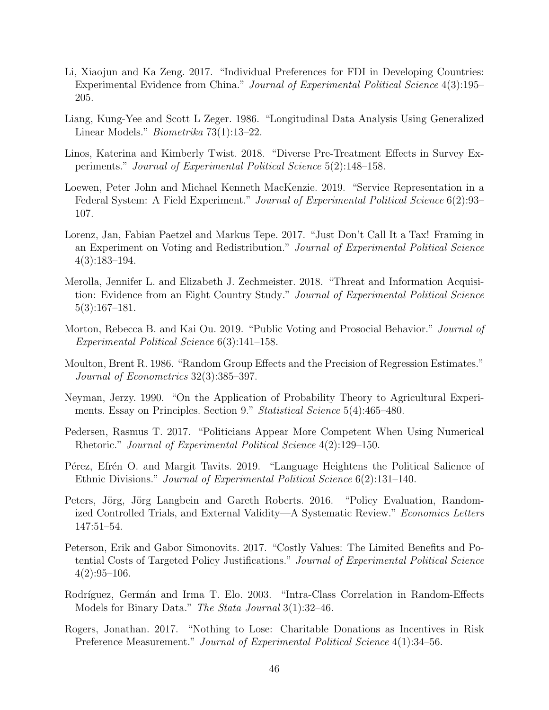- <span id="page-45-19"></span><span id="page-45-18"></span><span id="page-45-17"></span><span id="page-45-16"></span><span id="page-45-15"></span><span id="page-45-14"></span><span id="page-45-13"></span><span id="page-45-12"></span><span id="page-45-11"></span><span id="page-45-10"></span><span id="page-45-5"></span>Li, Xiaojun and Ka Zeng. 2017. "Individual Preferences for FDI in Developing Countries: Experimental Evidence from China." Journal of Experimental Political Science 4(3):195– 205.
- <span id="page-45-1"></span>Liang, Kung-Yee and Scott L Zeger. 1986. "Longitudinal Data Analysis Using Generalized Linear Models." Biometrika 73(1):13–22.
- Linos, Katerina and Kimberly Twist. 2018. "Diverse Pre-Treatment Effects in Survey Experiments." Journal of Experimental Political Science 5(2):148–158.
- <span id="page-45-4"></span>Loewen, Peter John and Michael Kenneth MacKenzie. 2019. "Service Representation in a Federal System: A Field Experiment." Journal of Experimental Political Science 6(2):93– 107.
- <span id="page-45-7"></span>Lorenz, Jan, Fabian Paetzel and Markus Tepe. 2017. "Just Don't Call It a Tax! Framing in an Experiment on Voting and Redistribution." Journal of Experimental Political Science 4(3):183–194.
- Merolla, Jennifer L. and Elizabeth J. Zechmeister. 2018. "Threat and Information Acquisition: Evidence from an Eight Country Study." Journal of Experimental Political Science 5(3):167–181.
- <span id="page-45-6"></span>Morton, Rebecca B. and Kai Ou. 2019. "Public Voting and Prosocial Behavior." Journal of Experimental Political Science 6(3):141–158.
- <span id="page-45-0"></span>Moulton, Brent R. 1986. "Random Group Effects and the Precision of Regression Estimates." Journal of Econometrics 32(3):385–397.
- <span id="page-45-2"></span>Neyman, Jerzy. 1990. "On the Application of Probability Theory to Agricultural Experiments. Essay on Principles. Section 9." Statistical Science 5(4):465–480.
- Pedersen, Rasmus T. 2017. "Politicians Appear More Competent When Using Numerical Rhetoric." Journal of Experimental Political Science 4(2):129–150.
- Pérez, Efrén O. and Margit Tavits. 2019. "Language Heightens the Political Salience of Ethnic Divisions." Journal of Experimental Political Science 6(2):131–140.
- <span id="page-45-9"></span>Peters, Jörg, Jörg Langbein and Gareth Roberts. 2016. "Policy Evaluation, Randomized Controlled Trials, and External Validity—A Systematic Review." Economics Letters 147:51–54.
- Peterson, Erik and Gabor Simonovits. 2017. "Costly Values: The Limited Benefits and Potential Costs of Targeted Policy Justifications." Journal of Experimental Political Science  $4(2):95-106.$
- <span id="page-45-3"></span>Rodríguez, Germán and Irma T. Elo. 2003. "Intra-Class Correlation in Random-Effects Models for Binary Data." The Stata Journal 3(1):32–46.
- <span id="page-45-8"></span>Rogers, Jonathan. 2017. "Nothing to Lose: Charitable Donations as Incentives in Risk Preference Measurement." Journal of Experimental Political Science 4(1):34–56.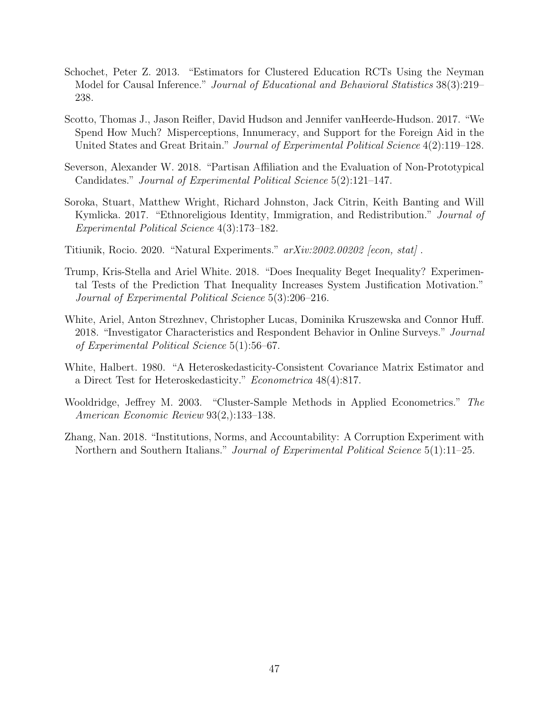- <span id="page-46-10"></span><span id="page-46-9"></span><span id="page-46-8"></span><span id="page-46-7"></span><span id="page-46-6"></span><span id="page-46-5"></span><span id="page-46-2"></span>Schochet, Peter Z. 2013. "Estimators for Clustered Education RCTs Using the Neyman Model for Causal Inference." Journal of Educational and Behavioral Statistics 38(3):219– 238.
- Scotto, Thomas J., Jason Reifler, David Hudson and Jennifer vanHeerde-Hudson. 2017. "We Spend How Much? Misperceptions, Innumeracy, and Support for the Foreign Aid in the United States and Great Britain." Journal of Experimental Political Science 4(2):119–128.
- Severson, Alexander W. 2018. "Partisan Affiliation and the Evaluation of Non-Prototypical Candidates." Journal of Experimental Political Science 5(2):121–147.
- Soroka, Stuart, Matthew Wright, Richard Johnston, Jack Citrin, Keith Banting and Will Kymlicka. 2017. "Ethnoreligious Identity, Immigration, and Redistribution." Journal of Experimental Political Science 4(3):173–182.
- <span id="page-46-3"></span>Titiunik, Rocio. 2020. "Natural Experiments." arXiv:2002.00202 [econ, stat] .
- Trump, Kris-Stella and Ariel White. 2018. "Does Inequality Beget Inequality? Experimental Tests of the Prediction That Inequality Increases System Justification Motivation." Journal of Experimental Political Science 5(3):206–216.
- White, Ariel, Anton Strezhnev, Christopher Lucas, Dominika Kruszewska and Connor Huff. 2018. "Investigator Characteristics and Respondent Behavior in Online Surveys." Journal of Experimental Political Science 5(1):56–67.
- <span id="page-46-0"></span>White, Halbert. 1980. "A Heteroskedasticity-Consistent Covariance Matrix Estimator and a Direct Test for Heteroskedasticity." Econometrica 48(4):817.
- <span id="page-46-1"></span>Wooldridge, Jeffrey M. 2003. "Cluster-Sample Methods in Applied Econometrics." The American Economic Review 93(2,):133–138.
- <span id="page-46-4"></span>Zhang, Nan. 2018. "Institutions, Norms, and Accountability: A Corruption Experiment with Northern and Southern Italians." *Journal of Experimental Political Science* 5(1):11–25.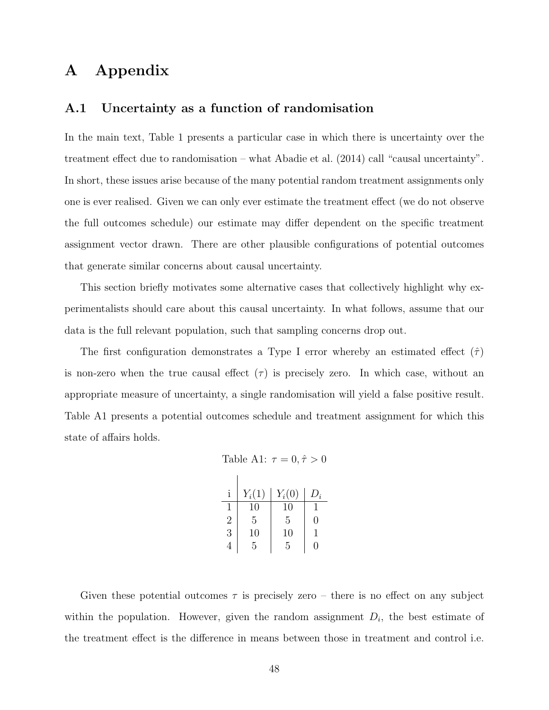### A Appendix

#### A.1 Uncertainty as a function of randomisation

In the main text, Table [1](#page-7-0) presents a particular case in which there is uncertainty over the treatment effect due to randomisation – what [Abadie et al.](#page-41-3) [\(2014\)](#page-41-3) call "causal uncertainty". In short, these issues arise because of the many potential random treatment assignments only one is ever realised. Given we can only ever estimate the treatment effect (we do not observe the full outcomes schedule) our estimate may differ dependent on the specific treatment assignment vector drawn. There are other plausible configurations of potential outcomes that generate similar concerns about causal uncertainty.

This section briefly motivates some alternative cases that collectively highlight why experimentalists should care about this causal uncertainty. In what follows, assume that our data is the full relevant population, such that sampling concerns drop out.

<span id="page-47-0"></span>The first configuration demonstrates a Type I error whereby an estimated effect  $(\hat{\tau})$ is non-zero when the true causal effect  $(\tau)$  is precisely zero. In which case, without an appropriate measure of uncertainty, a single randomisation will yield a false positive result. Table [A1](#page-47-0) presents a potential outcomes schedule and treatment assignment for which this state of affairs holds.

Table A1: 
$$
\tau = 0, \hat{\tau} > 0
$$

|                | $Y_i(1)$ | $Y_i(0)$ | $D_i$ |
|----------------|----------|----------|-------|
|                | 10       | 10       |       |
| $\overline{2}$ | 5        | 5        | 0     |
| 3              | 10       | 10       |       |
|                | 5        | 5        | ı     |

Given these potential outcomes  $\tau$  is precisely zero – there is no effect on any subject within the population. However, given the random assignment  $D_i$ , the best estimate of the treatment effect is the difference in means between those in treatment and control i.e.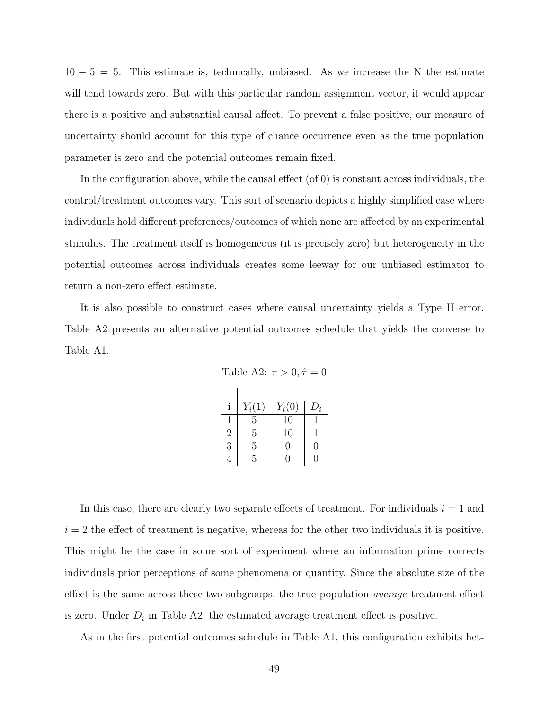$10 - 5 = 5$ . This estimate is, technically, unbiased. As we increase the N the estimate will tend towards zero. But with this particular random assignment vector, it would appear there is a positive and substantial causal affect. To prevent a false positive, our measure of uncertainty should account for this type of chance occurrence even as the true population parameter is zero and the potential outcomes remain fixed.

In the configuration above, while the causal effect  $(of 0)$  is constant across individuals, the control/treatment outcomes vary. This sort of scenario depicts a highly simplified case where individuals hold different preferences/outcomes of which none are affected by an experimental stimulus. The treatment itself is homogeneous (it is precisely zero) but heterogeneity in the potential outcomes across individuals creates some leeway for our unbiased estimator to return a non-zero effect estimate.

<span id="page-48-0"></span>It is also possible to construct cases where causal uncertainty yields a Type II error. Table [A2](#page-48-0) presents an alternative potential outcomes schedule that yields the converse to Table [A1.](#page-47-0)

Table A2:  $\tau > 0, \hat{\tau} = 0$ 

|   | $Y_i(1)$ | $Y_i(0)$ | $D_i$ |
|---|----------|----------|-------|
|   | 5        | 10       |       |
| 2 | 5        | 10       |       |
| 3 | 5        | 0        | 0     |
| 4 | 5        | 0        | 0     |

In this case, there are clearly two separate effects of treatment. For individuals  $i = 1$  and  $i = 2$  the effect of treatment is negative, whereas for the other two individuals it is positive. This might be the case in some sort of experiment where an information prime corrects individuals prior perceptions of some phenomena or quantity. Since the absolute size of the effect is the same across these two subgroups, the true population *average* treatment effect is zero. Under  $D_i$  in Table [A2,](#page-48-0) the estimated average treatment effect is positive.

As in the first potential outcomes schedule in Table [A1,](#page-47-0) this configuration exhibits het-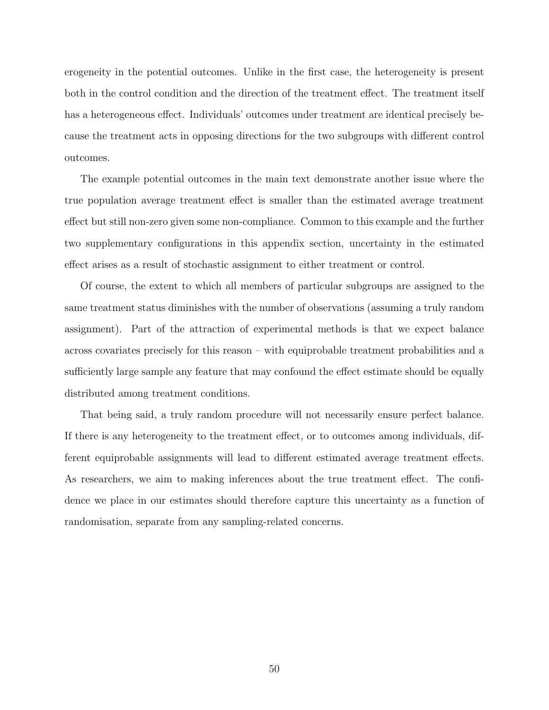erogeneity in the potential outcomes. Unlike in the first case, the heterogeneity is present both in the control condition and the direction of the treatment effect. The treatment itself has a heterogeneous effect. Individuals' outcomes under treatment are identical precisely because the treatment acts in opposing directions for the two subgroups with different control outcomes.

The example potential outcomes in the main text demonstrate another issue where the true population average treatment effect is smaller than the estimated average treatment effect but still non-zero given some non-compliance. Common to this example and the further two supplementary configurations in this appendix section, uncertainty in the estimated effect arises as a result of stochastic assignment to either treatment or control.

Of course, the extent to which all members of particular subgroups are assigned to the same treatment status diminishes with the number of observations (assuming a truly random assignment). Part of the attraction of experimental methods is that we expect balance across covariates precisely for this reason – with equiprobable treatment probabilities and a sufficiently large sample any feature that may confound the effect estimate should be equally distributed among treatment conditions.

That being said, a truly random procedure will not necessarily ensure perfect balance. If there is any heterogeneity to the treatment effect, or to outcomes among individuals, different equiprobable assignments will lead to different estimated average treatment effects. As researchers, we aim to making inferences about the true treatment effect. The confidence we place in our estimates should therefore capture this uncertainty as a function of randomisation, separate from any sampling-related concerns.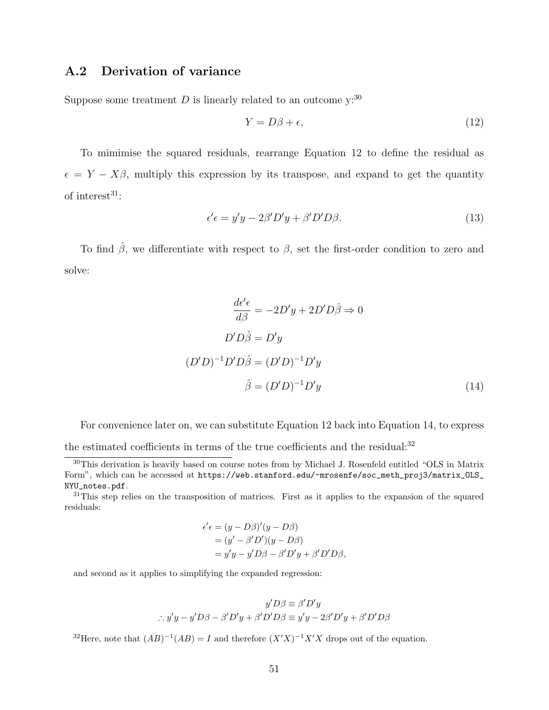### A.2 Derivation of variance

Suppose some treatment  $D$  is linearly related to an outcome  $y:30$  $y:30$ 

<span id="page-50-1"></span>
$$
Y = D\beta + \epsilon,\tag{12}
$$

To mimimise the squared residuals, rearrange Equation [12](#page-50-1) to define the residual as  $\epsilon = Y - X\beta$ , multiply this expression by its transpose, and expand to get the quantity of interest $31$ :

$$
\epsilon' \epsilon = y'y - 2\beta' D'y + \beta' D'D\beta. \tag{13}
$$

To find  $\hat{\beta}$ , we differentiate with respect to  $\beta$ , set the first-order condition to zero and solve:

<span id="page-50-3"></span>
$$
\frac{d\epsilon'\epsilon}{d\beta} = -2D'y + 2D'D\hat{\beta} \Rightarrow 0
$$
  

$$
D'D\hat{\beta} = D'y
$$
  

$$
(D'D)^{-1}D'D\hat{\beta} = (D'D)^{-1}D'y
$$
  

$$
\hat{\beta} = (D'D)^{-1}D'y
$$
 (14)

For convenience later on, we can substitute Equation [12](#page-50-1) back into Equation [14,](#page-50-3) to express the estimated coefficients in terms of the true coefficients and the residual:<sup>[32](#page-50-4)</sup>

<span id="page-50-2"></span> $31$ This step relies on the transposition of matrices. First as it applies to the expansion of the squared residuals:

$$
\epsilon'\epsilon = (y - D\beta)'(y - D\beta)
$$
  
=  $(y' - \beta'D')(y - D\beta)$   
=  $y'y - y'D\beta - \beta'D'y + \beta'D'D\beta$ ,

and second as it applies to simplifying the expanded regression:

$$
y'D\beta \equiv \beta'D'y
$$
  
:.  $y'y - y'D\beta - \beta'D'y + \beta'D'D\beta \equiv y'y - 2\beta'D'y + \beta'D'D\beta$ 

<span id="page-50-4"></span><sup>32</sup>Here, note that  $(AB)^{-1}(AB) = I$  and therefore  $(X'X)^{-1}X'X$  drops out of the equation.

<span id="page-50-0"></span><sup>&</sup>lt;sup>30</sup>This derivation is heavily based on course notes from by Michael J. Rosenfeld entitled "OLS in Matrix" Form", which can be accessed at [https://web.stanford.edu/~mrosenfe/soc\\_meth\\_proj3/matrix\\_OLS\\_](https://web.stanford.edu/~mrosenfe/soc_meth_proj3/matrix_OLS_NYU_notes.pdf) [NYU\\_notes.pdf](https://web.stanford.edu/~mrosenfe/soc_meth_proj3/matrix_OLS_NYU_notes.pdf).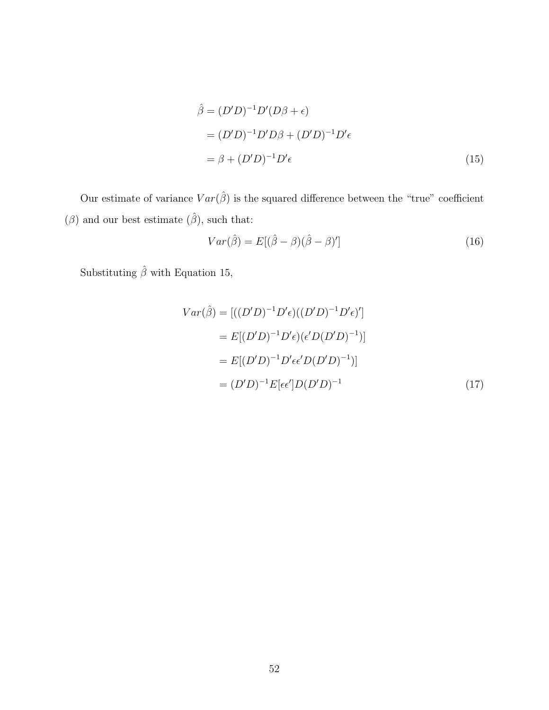<span id="page-51-1"></span>
$$
\hat{\beta} = (D'D)^{-1}D'(D\beta + \epsilon)
$$
  
=  $(D'D)^{-1}D'D\beta + (D'D)^{-1}D'\epsilon$   
=  $\beta + (D'D)^{-1}D'\epsilon$  (15)

Our estimate of variance  $Var(\hat{\beta})$  is the squared difference between the "true" coefficient  $(\beta)$  and our best estimate  $(\hat{\beta}),$  such that:

$$
Var(\hat{\beta}) = E[(\hat{\beta} - \beta)(\hat{\beta} - \beta)'] \tag{16}
$$

Substituting  $\hat{\beta}$  with Equation [15,](#page-51-1)

<span id="page-51-0"></span>
$$
Var(\hat{\beta}) = [((D'D)^{-1}D'\epsilon)((D'D)^{-1}D'\epsilon)']
$$
  
=  $E[(D'D)^{-1}D'\epsilon)(\epsilon'D(D'D)^{-1})]$   
=  $E[(D'D)^{-1}D'\epsilon\epsilon'D(D'D)^{-1})]$   
=  $(D'D)^{-1}E[\epsilon\epsilon']D(D'D)^{-1}$  (17)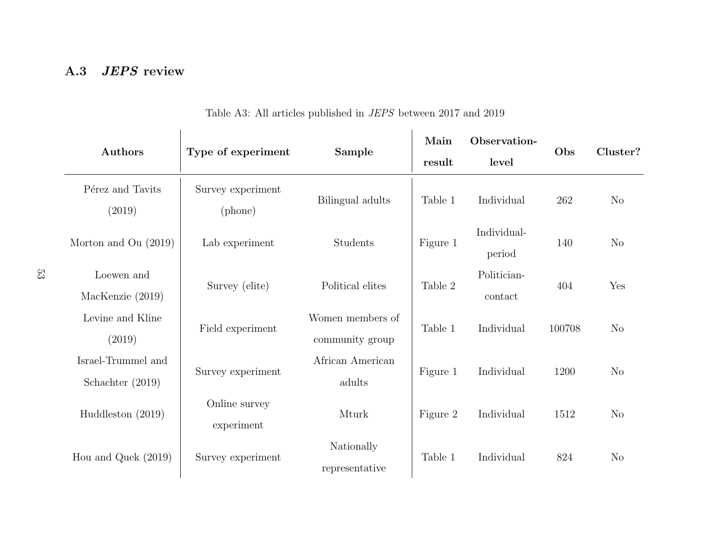# A.3 *JEPS* review

| Authors                                | Type of experiment           | Sample                              | Main<br>result | Observation-<br>level  | Obs    | Cluster?       |
|----------------------------------------|------------------------------|-------------------------------------|----------------|------------------------|--------|----------------|
| Pérez and Tavits<br>(2019)             | Survey experiment<br>(phone) | Bilingual adults                    | Table 1        | Individual             | 262    | $\rm No$       |
| Morton and Ou $(2019)$                 | Lab experiment               | Students                            | Figure 1       | Individual-<br>period  | 140    | N <sub>o</sub> |
| Loewen and<br>MacKenzie (2019)         | Survey (elite)               | Political elites                    | Table 2        | Politician-<br>contact | 404    | Yes            |
| Levine and Kline<br>(2019)             | Field experiment             | Women members of<br>community group | Table 1        | Individual             | 100708 | N <sub>o</sub> |
| Israel-Trummel and<br>Schachter (2019) | Survey experiment            | African American<br>adults          | Figure 1       | Individual             | 1200   | N <sub>o</sub> |
| Huddleston $(2019)$                    | Online survey<br>experiment  | Mturk                               | Figure 2       | Individual             | 1512   | N <sub>o</sub> |
| Hou and Quek $(2019)$                  | Survey experiment            | Nationally<br>representative        | Table 1        | Individual             | 824    | N <sub>o</sub> |

Table A3: All articles published in JEPS between <sup>2017</sup> and <sup>2019</sup>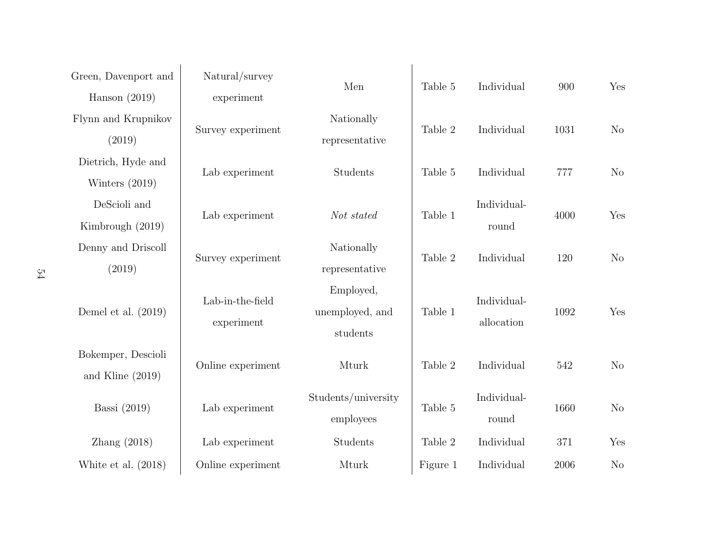| Green, Davenport and  | Natural/survey         |                     |          |             |      |                |
|-----------------------|------------------------|---------------------|----------|-------------|------|----------------|
| Hanson $(2019)$       | experiment             | Men                 | Table 5  | Individual  | 900  | Yes            |
| Flynn and Krupnikov   |                        | Nationally          |          |             |      |                |
| (2019)                | Survey experiment      | representative      | Table 2  | Individual  | 1031 | N <sub>o</sub> |
| Dietrich, Hyde and    |                        |                     |          |             |      |                |
| Winters $(2019)$      | Lab experiment         | Students            | Table 5  | Individual  | 777  | N <sub>o</sub> |
| DeScioli and          |                        |                     |          | Individual- |      |                |
| Kimbrough (2019)      | Lab experiment         | Not stated          | Table 1  | round       | 4000 | Yes            |
| Denny and Driscoll    |                        | Nationally          |          |             |      |                |
| (2019)                | Survey experiment      | representative      | Table 2  | Individual  | 120  | N <sub>o</sub> |
|                       | Lab-in-the-field       | Employed,           |          | Individual- |      |                |
| Demel et al. $(2019)$ |                        | unemployed, and     | Table 1  |             | 1092 | Yes            |
|                       | experiment             | students            |          | allocation  |      |                |
| Bokemper, Descioli    |                        |                     |          |             |      |                |
| and Kline $(2019)$    | Online experiment      | Mturk               | Table 2  | Individual  | 542  | N <sub>o</sub> |
|                       |                        | Students/university |          | Individual- |      |                |
| Bassi (2019)          | Lab experiment         | employees           | Table 5  | round       | 1660 | N <sub>o</sub> |
| Zhang $(2018)$        | ${\rm Lab}$ experiment | Students            | Table 2  | Individual  | 371  | Yes            |
| White et al. $(2018)$ | Online experiment      | Mturk               | Figure 1 | Individual  | 2006 | N <sub>o</sub> |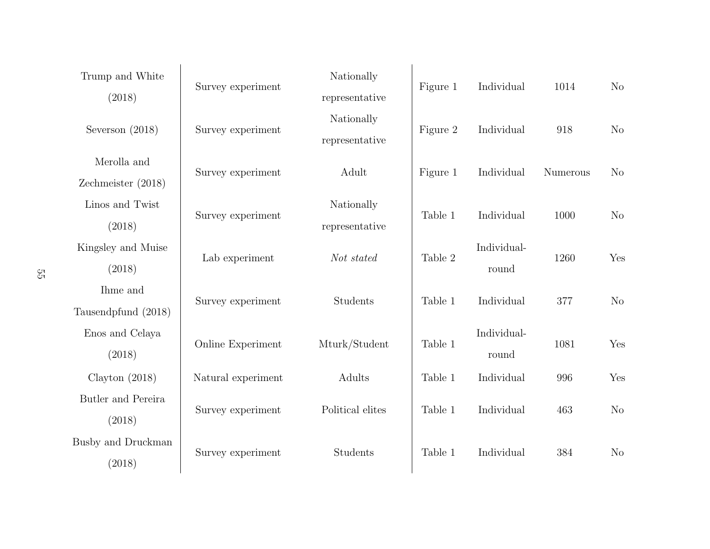| ΣS | Trump and White     | Survey experiment  | Nationally          | Figure 1 | Individual  | 1014     |                |
|----|---------------------|--------------------|---------------------|----------|-------------|----------|----------------|
|    | (2018)              |                    | representative      |          |             |          | $\rm No$       |
|    | Severson $(2018)$   | Survey experiment  | Nationally          | Figure 2 | Individual  | 918      | $\rm No$       |
|    |                     |                    | representative      |          |             |          |                |
|    | Merolla and         | Survey experiment  | Adult               | Figure 1 | Individual  | Numerous | $\rm No$       |
|    | Zechmeister (2018)  |                    |                     |          |             |          |                |
|    | Linos and Twist     | Survey experiment  | Nationally          | Table 1  | Individual  | 1000     | $\rm No$       |
|    | (2018)              |                    | representative      |          |             |          |                |
|    | Kingsley and Muise  | Lab experiment     | Not stated          | Table 2  | Individual- | 1260     | Yes            |
|    | (2018)              |                    |                     |          | round       |          |                |
|    | Ihme and            | Survey experiment  | Students<br>Table 1 |          | Individual  | 377      | No             |
|    | Tausendpfund (2018) |                    |                     |          |             |          |                |
|    | Enos and Celaya     | Online Experiment  | Mturk/Student       | Table 1  | Individual- | 1081     | Yes            |
|    | (2018)              |                    |                     |          | round       |          |                |
|    | Clayton $(2018)$    | Natural experiment | Adults              | Table 1  | Individual  | 996      | Yes            |
|    | Butler and Pereira  | Survey experiment  | Political elites    | Table 1  | Individual  | 463      | No             |
|    | (2018)              |                    |                     |          |             |          |                |
|    | Busby and Druckman  |                    | Students            | Table 1  | Individual  | 384      |                |
|    | (2018)              | Survey experiment  |                     |          |             |          | N <sub>o</sub> |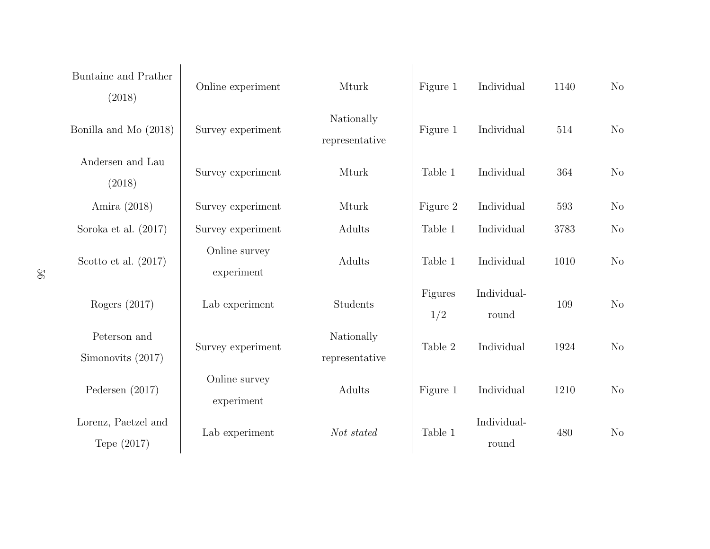| Buntaine and Prather<br>(2018)     | Online experiment           | Mturk                        | Figure 1       | Individual           | 1140 | No             |
|------------------------------------|-----------------------------|------------------------------|----------------|----------------------|------|----------------|
| Bonilla and Mo (2018)              | Survey experiment           | Nationally<br>representative | Figure 1       | Individual           | 514  | No             |
| Andersen and Lau<br>(2018)         | Survey experiment           | Mturk                        | Table 1        | Individual           | 364  | $\rm No$       |
| Amira (2018)                       | Survey experiment           | Mturk                        | Figure 2       | Individual           | 593  | N <sub>o</sub> |
| Soroka et al. $(2017)$             | Survey experiment           | Adults                       | Table 1        | Individual           | 3783 | N <sub>o</sub> |
| Scotto et al. $(2017)$             | Online survey<br>experiment | Adults                       | Table 1        | Individual           | 1010 | N <sub>o</sub> |
| Rogers $(2017)$                    | Lab experiment              | Students                     | Figures<br>1/2 | Individual-<br>round | 109  | N <sub>o</sub> |
| Peterson and<br>Simonovits (2017)  | Survey experiment           | Nationally<br>representative | Table 2        | Individual           | 1924 | N <sub>o</sub> |
| Pedersen $(2017)$                  | Online survey<br>experiment | Adults                       | Figure 1       | Individual           | 1210 | N <sub>o</sub> |
| Lorenz, Paetzel and<br>Tepe (2017) | Lab experiment              | Not stated                   | Table 1        | Individual-<br>round | 480  | N <sub>o</sub> |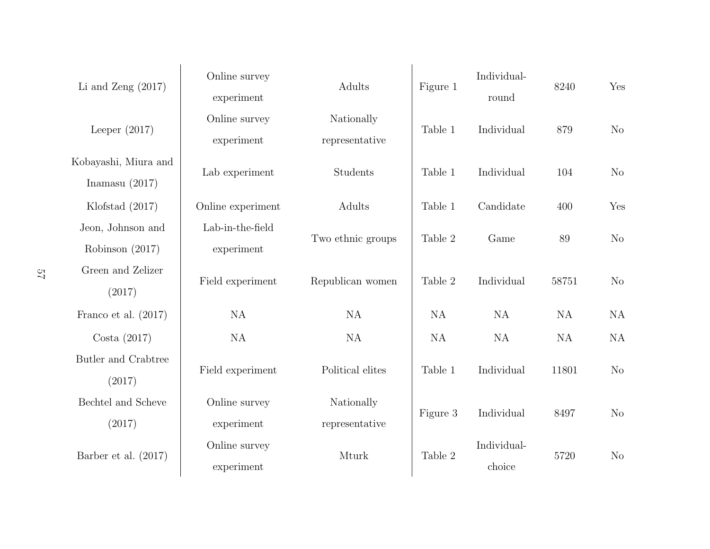| Li and Zeng $(2017)$                     | Online survey<br>experiment    | Adults                       | Figure 1 | Individual-<br>round  | 8240  | Yes       |
|------------------------------------------|--------------------------------|------------------------------|----------|-----------------------|-------|-----------|
| Leeper $(2017)$                          | Online survey<br>experiment    | Nationally<br>representative | Table 1  | Individual            | 879   | $\rm No$  |
| Kobayashi, Miura and<br>Inamasu $(2017)$ | Lab experiment                 | Students                     | Table 1  | Individual            | 104   | $\rm No$  |
| Klofstad $(2017)$                        | Online experiment              | Adults                       | Table 1  | Candidate             | 400   | Yes       |
| Jeon, Johnson and<br>Robinson $(2017)$   | Lab-in-the-field<br>experiment | Two ethnic groups            | Table 2  | Game                  | 89    | $\rm No$  |
| Green and Zelizer<br>(2017)              | Field experiment               | Republican women             | Table 2  | Individual            | 58751 | $\rm No$  |
| Franco et al. $(2017)$                   | <b>NA</b>                      | <b>NA</b>                    | NA       | <b>NA</b>             | NA    | <b>NA</b> |
| Costa $(2017)$                           | NA                             | NA                           | NA       | NA                    | NA    | <b>NA</b> |
| Butler and Crabtree<br>(2017)            | Field experiment               | Political elites             | Table 1  | Individual            | 11801 | $\rm No$  |
| Bechtel and Scheve<br>(2017)             | Online survey<br>experiment    | Nationally<br>representative | Figure 3 | Individual            | 8497  | $\rm No$  |
| Barber et al. $(2017)$                   | Online survey<br>experiment    | Mturk                        | Table 2  | Individual-<br>choice | 5720  | $\rm No$  |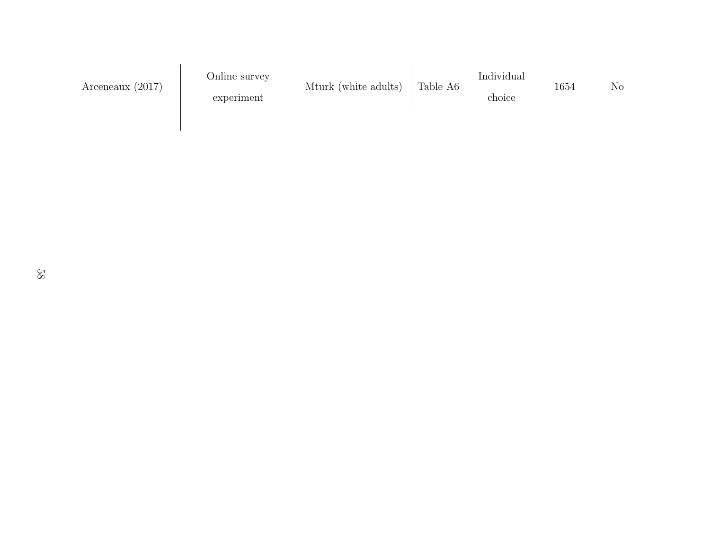| Arceneaux $(2017)$ | Online survey<br>experiment | Mturk (white adults) | Table A6 | Individual<br>choice | 1654 | $\rm No$ |
|--------------------|-----------------------------|----------------------|----------|----------------------|------|----------|
|                    |                             |                      |          |                      |      |          |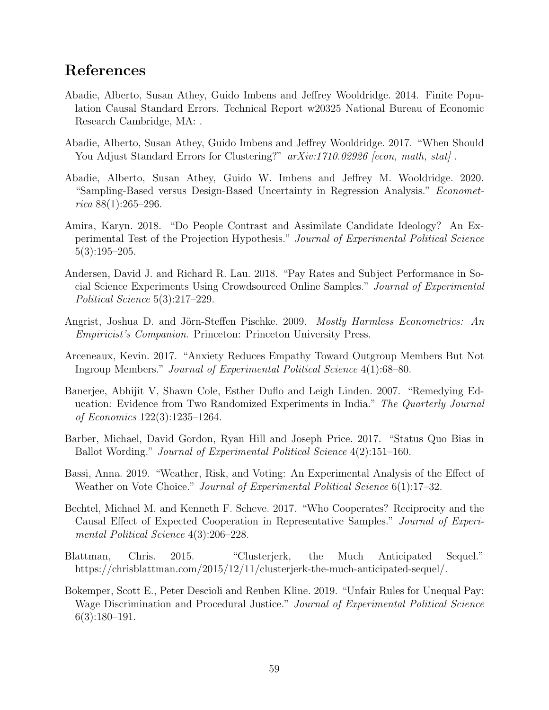### References

- Abadie, Alberto, Susan Athey, Guido Imbens and Jeffrey Wooldridge. 2014. Finite Population Causal Standard Errors. Technical Report w20325 National Bureau of Economic Research Cambridge, MA: .
- Abadie, Alberto, Susan Athey, Guido Imbens and Jeffrey Wooldridge. 2017. "When Should You Adjust Standard Errors for Clustering?"  $arXiv:1710.02926$  [econ, math, stat].
- Abadie, Alberto, Susan Athey, Guido W. Imbens and Jeffrey M. Wooldridge. 2020. "Sampling-Based versus Design-Based Uncertainty in Regression Analysis." Economet $rica 88(1):265-296.$
- Amira, Karyn. 2018. "Do People Contrast and Assimilate Candidate Ideology? An Experimental Test of the Projection Hypothesis." Journal of Experimental Political Science 5(3):195–205.
- Andersen, David J. and Richard R. Lau. 2018. "Pay Rates and Subject Performance in Social Science Experiments Using Crowdsourced Online Samples." Journal of Experimental Political Science 5(3):217–229.
- Angrist, Joshua D. and Jörn-Steffen Pischke. 2009. Mostly Harmless Econometrics: An Empiricist's Companion. Princeton: Princeton University Press.
- Arceneaux, Kevin. 2017. "Anxiety Reduces Empathy Toward Outgroup Members But Not Ingroup Members." Journal of Experimental Political Science 4(1):68–80.
- Banerjee, Abhijit V, Shawn Cole, Esther Duflo and Leigh Linden. 2007. "Remedying Education: Evidence from Two Randomized Experiments in India." The Quarterly Journal of Economics 122(3):1235–1264.
- Barber, Michael, David Gordon, Ryan Hill and Joseph Price. 2017. "Status Quo Bias in Ballot Wording." Journal of Experimental Political Science 4(2):151–160.
- Bassi, Anna. 2019. "Weather, Risk, and Voting: An Experimental Analysis of the Effect of Weather on Vote Choice." *Journal of Experimental Political Science* 6(1):17–32.
- Bechtel, Michael M. and Kenneth F. Scheve. 2017. "Who Cooperates? Reciprocity and the Causal Effect of Expected Cooperation in Representative Samples." Journal of Experimental Political Science 4(3):206–228.
- Blattman, Chris. 2015. "Clusterjerk, the Much Anticipated Sequel." https://chrisblattman.com/2015/12/11/clusterjerk-the-much-anticipated-sequel/.
- Bokemper, Scott E., Peter Descioli and Reuben Kline. 2019. "Unfair Rules for Unequal Pay: Wage Discrimination and Procedural Justice." Journal of Experimental Political Science  $6(3):180-191.$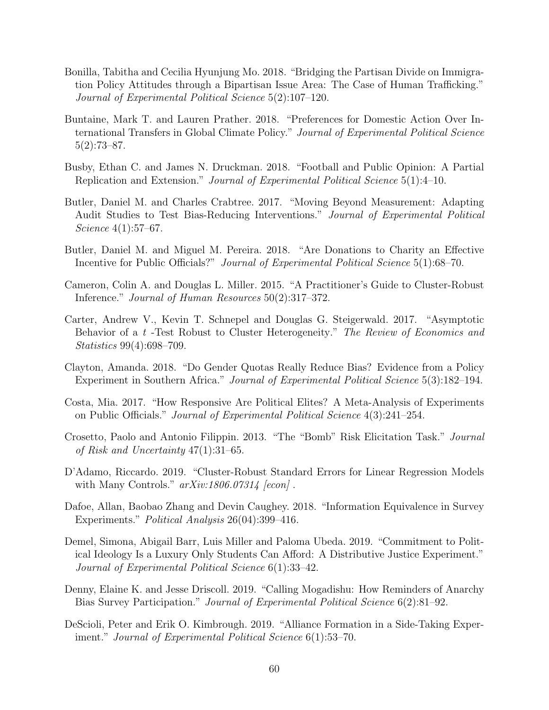- Bonilla, Tabitha and Cecilia Hyunjung Mo. 2018. "Bridging the Partisan Divide on Immigration Policy Attitudes through a Bipartisan Issue Area: The Case of Human Trafficking." Journal of Experimental Political Science 5(2):107–120.
- Buntaine, Mark T. and Lauren Prather. 2018. "Preferences for Domestic Action Over International Transfers in Global Climate Policy." Journal of Experimental Political Science 5(2):73–87.
- Busby, Ethan C. and James N. Druckman. 2018. "Football and Public Opinion: A Partial Replication and Extension." Journal of Experimental Political Science 5(1):4–10.
- Butler, Daniel M. and Charles Crabtree. 2017. "Moving Beyond Measurement: Adapting Audit Studies to Test Bias-Reducing Interventions." Journal of Experimental Political Science 4(1):57–67.
- Butler, Daniel M. and Miguel M. Pereira. 2018. "Are Donations to Charity an Effective Incentive for Public Officials?" Journal of Experimental Political Science 5(1):68–70.
- Cameron, Colin A. and Douglas L. Miller. 2015. "A Practitioner's Guide to Cluster-Robust Inference." Journal of Human Resources 50(2):317–372.
- Carter, Andrew V., Kevin T. Schnepel and Douglas G. Steigerwald. 2017. "Asymptotic Behavior of a t-Test Robust to Cluster Heterogeneity." The Review of Economics and Statistics 99(4):698–709.
- Clayton, Amanda. 2018. "Do Gender Quotas Really Reduce Bias? Evidence from a Policy Experiment in Southern Africa." Journal of Experimental Political Science 5(3):182–194.
- Costa, Mia. 2017. "How Responsive Are Political Elites? A Meta-Analysis of Experiments on Public Officials." Journal of Experimental Political Science 4(3):241–254.
- Crosetto, Paolo and Antonio Filippin. 2013. "The "Bomb" Risk Elicitation Task." Journal of Risk and Uncertainty 47(1):31–65.
- D'Adamo, Riccardo. 2019. "Cluster-Robust Standard Errors for Linear Regression Models with Many Controls."  $arXiv:1806.07314$  [econ].
- Dafoe, Allan, Baobao Zhang and Devin Caughey. 2018. "Information Equivalence in Survey Experiments." Political Analysis 26(04):399–416.
- Demel, Simona, Abigail Barr, Luis Miller and Paloma Ubeda. 2019. "Commitment to Political Ideology Is a Luxury Only Students Can Afford: A Distributive Justice Experiment." Journal of Experimental Political Science 6(1):33–42.
- Denny, Elaine K. and Jesse Driscoll. 2019. "Calling Mogadishu: How Reminders of Anarchy Bias Survey Participation." Journal of Experimental Political Science 6(2):81–92.
- DeScioli, Peter and Erik O. Kimbrough. 2019. "Alliance Formation in a Side-Taking Experiment." Journal of Experimental Political Science 6(1):53–70.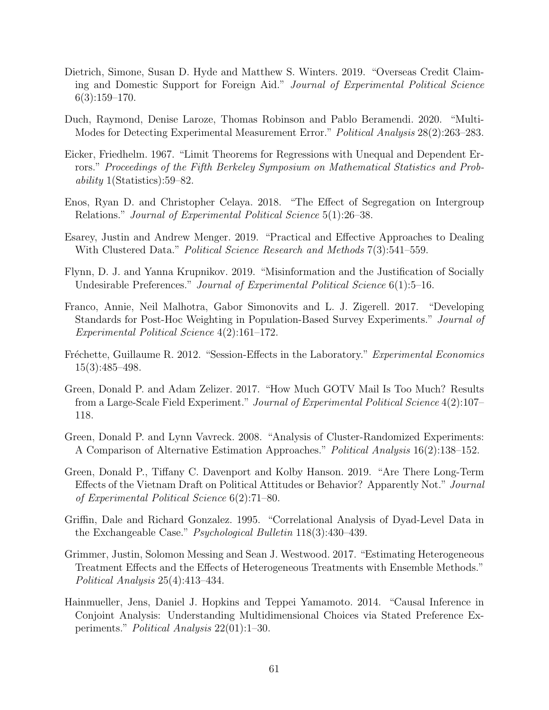- Dietrich, Simone, Susan D. Hyde and Matthew S. Winters. 2019. "Overseas Credit Claiming and Domestic Support for Foreign Aid." Journal of Experimental Political Science 6(3):159–170.
- Duch, Raymond, Denise Laroze, Thomas Robinson and Pablo Beramendi. 2020. "Multi-Modes for Detecting Experimental Measurement Error." Political Analysis 28(2):263–283.
- Eicker, Friedhelm. 1967. "Limit Theorems for Regressions with Unequal and Dependent Errors." Proceedings of the Fifth Berkeley Symposium on Mathematical Statistics and Probability 1(Statistics):59–82.
- Enos, Ryan D. and Christopher Celaya. 2018. "The Effect of Segregation on Intergroup Relations." Journal of Experimental Political Science 5(1):26–38.
- Esarey, Justin and Andrew Menger. 2019. "Practical and Effective Approaches to Dealing With Clustered Data." *Political Science Research and Methods* 7(3):541–559.
- Flynn, D. J. and Yanna Krupnikov. 2019. "Misinformation and the Justification of Socially Undesirable Preferences." Journal of Experimental Political Science 6(1):5–16.
- Franco, Annie, Neil Malhotra, Gabor Simonovits and L. J. Zigerell. 2017. "Developing Standards for Post-Hoc Weighting in Population-Based Survey Experiments." Journal of Experimental Political Science 4(2):161–172.
- Fréchette, Guillaume R. 2012. "Session-Effects in the Laboratory." Experimental Economics 15(3):485–498.
- Green, Donald P. and Adam Zelizer. 2017. "How Much GOTV Mail Is Too Much? Results from a Large-Scale Field Experiment." Journal of Experimental Political Science 4(2):107– 118.
- Green, Donald P. and Lynn Vavreck. 2008. "Analysis of Cluster-Randomized Experiments: A Comparison of Alternative Estimation Approaches." Political Analysis 16(2):138–152.
- Green, Donald P., Tiffany C. Davenport and Kolby Hanson. 2019. "Are There Long-Term Effects of the Vietnam Draft on Political Attitudes or Behavior? Apparently Not." Journal of Experimental Political Science 6(2):71–80.
- Griffin, Dale and Richard Gonzalez. 1995. "Correlational Analysis of Dyad-Level Data in the Exchangeable Case." Psychological Bulletin 118(3):430–439.
- Grimmer, Justin, Solomon Messing and Sean J. Westwood. 2017. "Estimating Heterogeneous Treatment Effects and the Effects of Heterogeneous Treatments with Ensemble Methods." Political Analysis 25(4):413–434.
- Hainmueller, Jens, Daniel J. Hopkins and Teppei Yamamoto. 2014. "Causal Inference in Conjoint Analysis: Understanding Multidimensional Choices via Stated Preference Experiments." Political Analysis 22(01):1–30.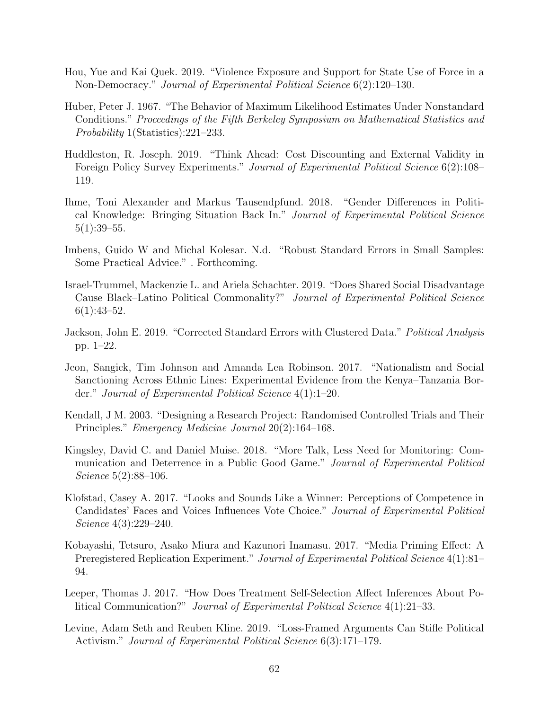- Hou, Yue and Kai Quek. 2019. "Violence Exposure and Support for State Use of Force in a Non-Democracy." Journal of Experimental Political Science 6(2):120–130.
- Huber, Peter J. 1967. "The Behavior of Maximum Likelihood Estimates Under Nonstandard Conditions." Proceedings of the Fifth Berkeley Symposium on Mathematical Statistics and Probability 1(Statistics):221–233.
- Huddleston, R. Joseph. 2019. "Think Ahead: Cost Discounting and External Validity in Foreign Policy Survey Experiments." *Journal of Experimental Political Science* 6(2):108– 119.
- Ihme, Toni Alexander and Markus Tausendpfund. 2018. "Gender Differences in Political Knowledge: Bringing Situation Back In." Journal of Experimental Political Science  $5(1):39-55.$
- Imbens, Guido W and Michal Kolesar. N.d. "Robust Standard Errors in Small Samples: Some Practical Advice." . Forthcoming.
- Israel-Trummel, Mackenzie L. and Ariela Schachter. 2019. "Does Shared Social Disadvantage Cause Black–Latino Political Commonality?" Journal of Experimental Political Science  $6(1):43-52.$
- Jackson, John E. 2019. "Corrected Standard Errors with Clustered Data." Political Analysis pp. 1–22.
- Jeon, Sangick, Tim Johnson and Amanda Lea Robinson. 2017. "Nationalism and Social Sanctioning Across Ethnic Lines: Experimental Evidence from the Kenya–Tanzania Border." Journal of Experimental Political Science 4(1):1–20.
- Kendall, J M. 2003. "Designing a Research Project: Randomised Controlled Trials and Their Principles." Emergency Medicine Journal 20(2):164–168.
- Kingsley, David C. and Daniel Muise. 2018. "More Talk, Less Need for Monitoring: Communication and Deterrence in a Public Good Game." Journal of Experimental Political Science 5(2):88–106.
- Klofstad, Casey A. 2017. "Looks and Sounds Like a Winner: Perceptions of Competence in Candidates' Faces and Voices Influences Vote Choice." Journal of Experimental Political Science 4(3):229–240.
- Kobayashi, Tetsuro, Asako Miura and Kazunori Inamasu. 2017. "Media Priming Effect: A Preregistered Replication Experiment." Journal of Experimental Political Science 4(1):81– 94.
- Leeper, Thomas J. 2017. "How Does Treatment Self-Selection Affect Inferences About Political Communication?" Journal of Experimental Political Science 4(1):21–33.
- Levine, Adam Seth and Reuben Kline. 2019. "Loss-Framed Arguments Can Stifle Political Activism." *Journal of Experimental Political Science* 6(3):171–179.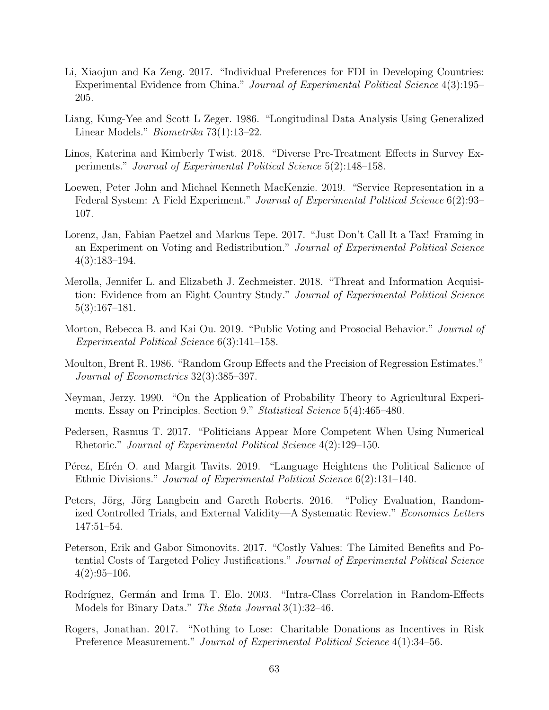- Li, Xiaojun and Ka Zeng. 2017. "Individual Preferences for FDI in Developing Countries: Experimental Evidence from China." Journal of Experimental Political Science 4(3):195– 205.
- Liang, Kung-Yee and Scott L Zeger. 1986. "Longitudinal Data Analysis Using Generalized Linear Models." Biometrika 73(1):13–22.
- Linos, Katerina and Kimberly Twist. 2018. "Diverse Pre-Treatment Effects in Survey Experiments." Journal of Experimental Political Science 5(2):148–158.
- Loewen, Peter John and Michael Kenneth MacKenzie. 2019. "Service Representation in a Federal System: A Field Experiment." Journal of Experimental Political Science 6(2):93– 107.
- Lorenz, Jan, Fabian Paetzel and Markus Tepe. 2017. "Just Don't Call It a Tax! Framing in an Experiment on Voting and Redistribution." Journal of Experimental Political Science 4(3):183–194.
- Merolla, Jennifer L. and Elizabeth J. Zechmeister. 2018. "Threat and Information Acquisition: Evidence from an Eight Country Study." Journal of Experimental Political Science 5(3):167–181.
- Morton, Rebecca B. and Kai Ou. 2019. "Public Voting and Prosocial Behavior." Journal of Experimental Political Science 6(3):141–158.
- Moulton, Brent R. 1986. "Random Group Effects and the Precision of Regression Estimates." Journal of Econometrics 32(3):385–397.
- Neyman, Jerzy. 1990. "On the Application of Probability Theory to Agricultural Experiments. Essay on Principles. Section 9." Statistical Science 5(4):465–480.
- Pedersen, Rasmus T. 2017. "Politicians Appear More Competent When Using Numerical Rhetoric." Journal of Experimental Political Science 4(2):129–150.
- Pérez, Efrén O. and Margit Tavits. 2019. "Language Heightens the Political Salience of Ethnic Divisions." Journal of Experimental Political Science 6(2):131–140.
- Peters, Jörg, Jörg Langbein and Gareth Roberts. 2016. "Policy Evaluation, Randomized Controlled Trials, and External Validity—A Systematic Review." Economics Letters 147:51–54.
- Peterson, Erik and Gabor Simonovits. 2017. "Costly Values: The Limited Benefits and Potential Costs of Targeted Policy Justifications." Journal of Experimental Political Science  $4(2):95-106.$
- Rodríguez, Germán and Irma T. Elo. 2003. "Intra-Class Correlation in Random-Effects Models for Binary Data." The Stata Journal 3(1):32–46.
- Rogers, Jonathan. 2017. "Nothing to Lose: Charitable Donations as Incentives in Risk Preference Measurement." Journal of Experimental Political Science 4(1):34–56.